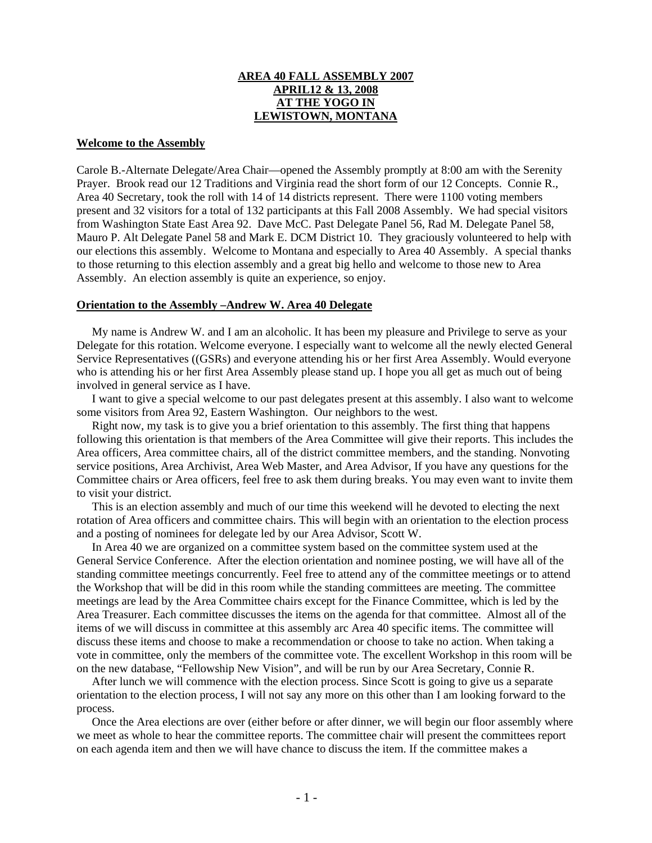## **AREA 40 FALL ASSEMBLY 2007 APRIL12 & 13, 2008 AT THE YOGO IN LEWISTOWN, MONTANA**

#### **Welcome to the Assembly**

Carole B.-Alternate Delegate/Area Chair—opened the Assembly promptly at 8:00 am with the Serenity Prayer. Brook read our 12 Traditions and Virginia read the short form of our 12 Concepts. Connie R., Area 40 Secretary, took the roll with 14 of 14 districts represent. There were 1100 voting members present and 32 visitors for a total of 132 participants at this Fall 2008 Assembly. We had special visitors from Washington State East Area 92. Dave McC. Past Delegate Panel 56, Rad M. Delegate Panel 58, Mauro P. Alt Delegate Panel 58 and Mark E. DCM District 10. They graciously volunteered to help with our elections this assembly. Welcome to Montana and especially to Area 40 Assembly. A special thanks to those returning to this election assembly and a great big hello and welcome to those new to Area Assembly. An election assembly is quite an experience, so enjoy.

### **Orientation to the Assembly –Andrew W. Area 40 Delegate**

 My name is Andrew W. and I am an alcoholic. It has been my pleasure and Privilege to serve as your Delegate for this rotation. Welcome everyone. I especially want to welcome all the newly elected General Service Representatives ((GSRs) and everyone attending his or her first Area Assembly. Would everyone who is attending his or her first Area Assembly please stand up. I hope you all get as much out of being involved in general service as I have.

 I want to give a special welcome to our past delegates present at this assembly. I also want to welcome some visitors from Area 92, Eastern Washington. Our neighbors to the west.

 Right now, my task is to give you a brief orientation to this assembly. The first thing that happens following this orientation is that members of the Area Committee will give their reports. This includes the Area officers, Area committee chairs, all of the district committee members, and the standing. Nonvoting service positions, Area Archivist, Area Web Master, and Area Advisor, If you have any questions for the Committee chairs or Area officers, feel free to ask them during breaks. You may even want to invite them to visit your district.

 This is an election assembly and much of our time this weekend will he devoted to electing the next rotation of Area officers and committee chairs. This will begin with an orientation to the election process and a posting of nominees for delegate led by our Area Advisor, Scott W.

 In Area 40 we are organized on a committee system based on the committee system used at the General Service Conference. After the election orientation and nominee posting, we will have all of the standing committee meetings concurrently. Feel free to attend any of the committee meetings or to attend the Workshop that will be did in this room while the standing committees are meeting. The committee meetings are lead by the Area Committee chairs except for the Finance Committee, which is led by the Area Treasurer. Each committee discusses the items on the agenda for that committee. Almost all of the items of we will discuss in committee at this assembly arc Area 40 specific items. The committee will discuss these items and choose to make a recommendation or choose to take no action. When taking a vote in committee, only the members of the committee vote. The excellent Workshop in this room will be on the new database, "Fellowship New Vision", and will be run by our Area Secretary, Connie R.

 After lunch we will commence with the election process. Since Scott is going to give us a separate orientation to the election process, I will not say any more on this other than I am looking forward to the process.

 Once the Area elections are over (either before or after dinner, we will begin our floor assembly where we meet as whole to hear the committee reports. The committee chair will present the committees report on each agenda item and then we will have chance to discuss the item. If the committee makes a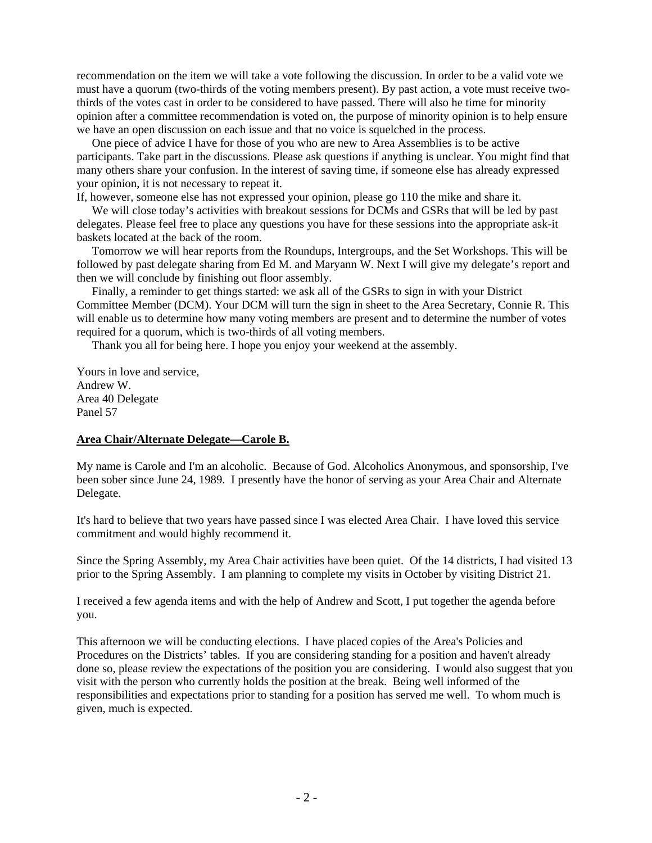recommendation on the item we will take a vote following the discussion. In order to be a valid vote we must have a quorum (two-thirds of the voting members present). By past action, a vote must receive twothirds of the votes cast in order to be considered to have passed. There will also he time for minority opinion after a committee recommendation is voted on, the purpose of minority opinion is to help ensure we have an open discussion on each issue and that no voice is squelched in the process.

 One piece of advice I have for those of you who are new to Area Assemblies is to be active participants. Take part in the discussions. Please ask questions if anything is unclear. You might find that many others share your confusion. In the interest of saving time, if someone else has already expressed your opinion, it is not necessary to repeat it.

If, however, someone else has not expressed your opinion, please go 110 the mike and share it.

 We will close today's activities with breakout sessions for DCMs and GSRs that will be led by past delegates. Please feel free to place any questions you have for these sessions into the appropriate ask-it baskets located at the back of the room.

 Tomorrow we will hear reports from the Roundups, Intergroups, and the Set Workshops. This will be followed by past delegate sharing from Ed M. and Maryann W. Next I will give my delegate's report and then we will conclude by finishing out floor assembly.

 Finally, a reminder to get things started: we ask all of the GSRs to sign in with your District Committee Member (DCM). Your DCM will turn the sign in sheet to the Area Secretary, Connie R. This will enable us to determine how many voting members are present and to determine the number of votes required for a quorum, which is two-thirds of all voting members.

Thank you all for being here. I hope you enjoy your weekend at the assembly.

Yours in love and service, Andrew W. Area 40 Delegate Panel 57

### **Area Chair/Alternate Delegate—Carole B.**

My name is Carole and I'm an alcoholic. Because of God. Alcoholics Anonymous, and sponsorship, I've been sober since June 24, 1989. I presently have the honor of serving as your Area Chair and Alternate Delegate.

It's hard to believe that two years have passed since I was elected Area Chair. I have loved this service commitment and would highly recommend it.

Since the Spring Assembly, my Area Chair activities have been quiet. Of the 14 districts, I had visited 13 prior to the Spring Assembly. I am planning to complete my visits in October by visiting District 21.

I received a few agenda items and with the help of Andrew and Scott, I put together the agenda before you.

This afternoon we will be conducting elections. I have placed copies of the Area's Policies and Procedures on the Districts' tables. If you are considering standing for a position and haven't already done so, please review the expectations of the position you are considering. I would also suggest that you visit with the person who currently holds the position at the break. Being well informed of the responsibilities and expectations prior to standing for a position has served me well. To whom much is given, much is expected.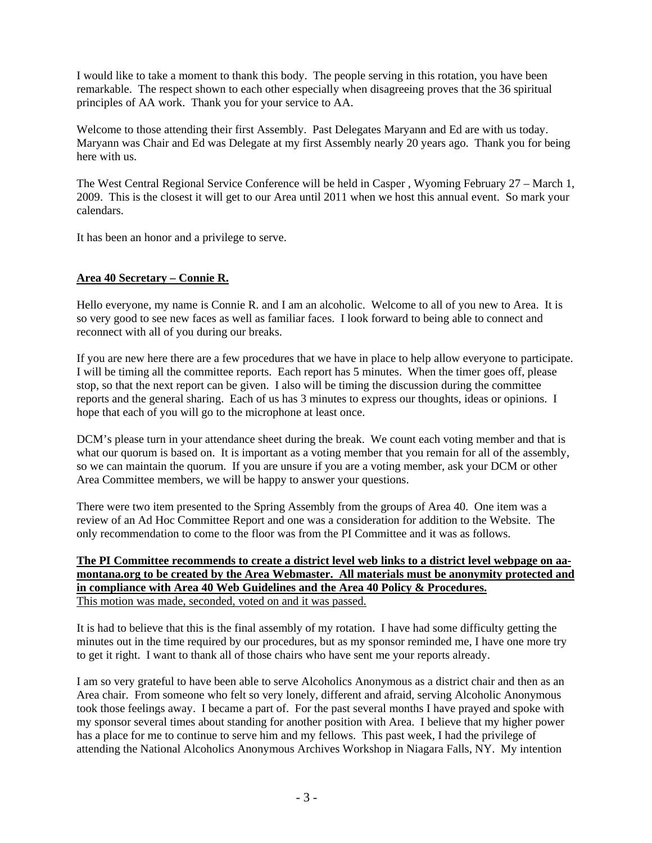I would like to take a moment to thank this body. The people serving in this rotation, you have been remarkable. The respect shown to each other especially when disagreeing proves that the 36 spiritual principles of AA work. Thank you for your service to AA.

Welcome to those attending their first Assembly. Past Delegates Maryann and Ed are with us today. Maryann was Chair and Ed was Delegate at my first Assembly nearly 20 years ago. Thank you for being here with us.

The West Central Regional Service Conference will be held in Casper , Wyoming February 27 – March 1, 2009. This is the closest it will get to our Area until 2011 when we host this annual event. So mark your calendars.

It has been an honor and a privilege to serve.

# **Area 40 Secretary – Connie R.**

Hello everyone, my name is Connie R. and I am an alcoholic. Welcome to all of you new to Area. It is so very good to see new faces as well as familiar faces. I look forward to being able to connect and reconnect with all of you during our breaks.

If you are new here there are a few procedures that we have in place to help allow everyone to participate. I will be timing all the committee reports. Each report has 5 minutes. When the timer goes off, please stop, so that the next report can be given. I also will be timing the discussion during the committee reports and the general sharing. Each of us has 3 minutes to express our thoughts, ideas or opinions. I hope that each of you will go to the microphone at least once.

DCM's please turn in your attendance sheet during the break. We count each voting member and that is what our quorum is based on. It is important as a voting member that you remain for all of the assembly, so we can maintain the quorum. If you are unsure if you are a voting member, ask your DCM or other Area Committee members, we will be happy to answer your questions.

There were two item presented to the Spring Assembly from the groups of Area 40. One item was a review of an Ad Hoc Committee Report and one was a consideration for addition to the Website. The only recommendation to come to the floor was from the PI Committee and it was as follows.

## **The PI Committee recommends to create a district level web links to a district level webpage on aamontana.org to be created by the Area Webmaster. All materials must be anonymity protected and in compliance with Area 40 Web Guidelines and the Area 40 Policy & Procedures.** This motion was made, seconded, voted on and it was passed.

It is had to believe that this is the final assembly of my rotation. I have had some difficulty getting the minutes out in the time required by our procedures, but as my sponsor reminded me, I have one more try to get it right. I want to thank all of those chairs who have sent me your reports already.

I am so very grateful to have been able to serve Alcoholics Anonymous as a district chair and then as an Area chair. From someone who felt so very lonely, different and afraid, serving Alcoholic Anonymous took those feelings away. I became a part of. For the past several months I have prayed and spoke with my sponsor several times about standing for another position with Area. I believe that my higher power has a place for me to continue to serve him and my fellows. This past week, I had the privilege of attending the National Alcoholics Anonymous Archives Workshop in Niagara Falls, NY. My intention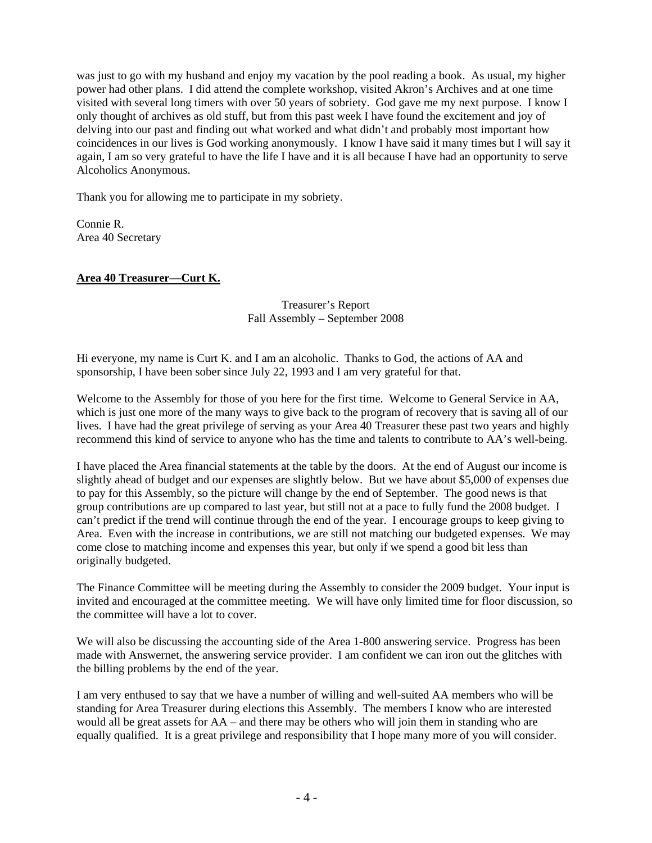was just to go with my husband and enjoy my vacation by the pool reading a book. As usual, my higher power had other plans. I did attend the complete workshop, visited Akron's Archives and at one time visited with several long timers with over 50 years of sobriety. God gave me my next purpose. I know I only thought of archives as old stuff, but from this past week I have found the excitement and joy of delving into our past and finding out what worked and what didn't and probably most important how coincidences in our lives is God working anonymously. I know I have said it many times but I will say it again, I am so very grateful to have the life I have and it is all because I have had an opportunity to serve Alcoholics Anonymous.

Thank you for allowing me to participate in my sobriety.

Connie R. Area 40 Secretary

# **Area 40 Treasurer—Curt K.**

## Treasurer's Report Fall Assembly – September 2008

Hi everyone, my name is Curt K. and I am an alcoholic. Thanks to God, the actions of AA and sponsorship, I have been sober since July 22, 1993 and I am very grateful for that.

Welcome to the Assembly for those of you here for the first time. Welcome to General Service in AA, which is just one more of the many ways to give back to the program of recovery that is saving all of our lives. I have had the great privilege of serving as your Area 40 Treasurer these past two years and highly recommend this kind of service to anyone who has the time and talents to contribute to AA's well-being.

I have placed the Area financial statements at the table by the doors. At the end of August our income is slightly ahead of budget and our expenses are slightly below. But we have about \$5,000 of expenses due to pay for this Assembly, so the picture will change by the end of September. The good news is that group contributions are up compared to last year, but still not at a pace to fully fund the 2008 budget. I can't predict if the trend will continue through the end of the year. I encourage groups to keep giving to Area. Even with the increase in contributions, we are still not matching our budgeted expenses. We may come close to matching income and expenses this year, but only if we spend a good bit less than originally budgeted.

The Finance Committee will be meeting during the Assembly to consider the 2009 budget. Your input is invited and encouraged at the committee meeting. We will have only limited time for floor discussion, so the committee will have a lot to cover.

We will also be discussing the accounting side of the Area 1-800 answering service. Progress has been made with Answernet, the answering service provider. I am confident we can iron out the glitches with the billing problems by the end of the year.

I am very enthused to say that we have a number of willing and well-suited AA members who will be standing for Area Treasurer during elections this Assembly. The members I know who are interested would all be great assets for AA – and there may be others who will join them in standing who are equally qualified. It is a great privilege and responsibility that I hope many more of you will consider.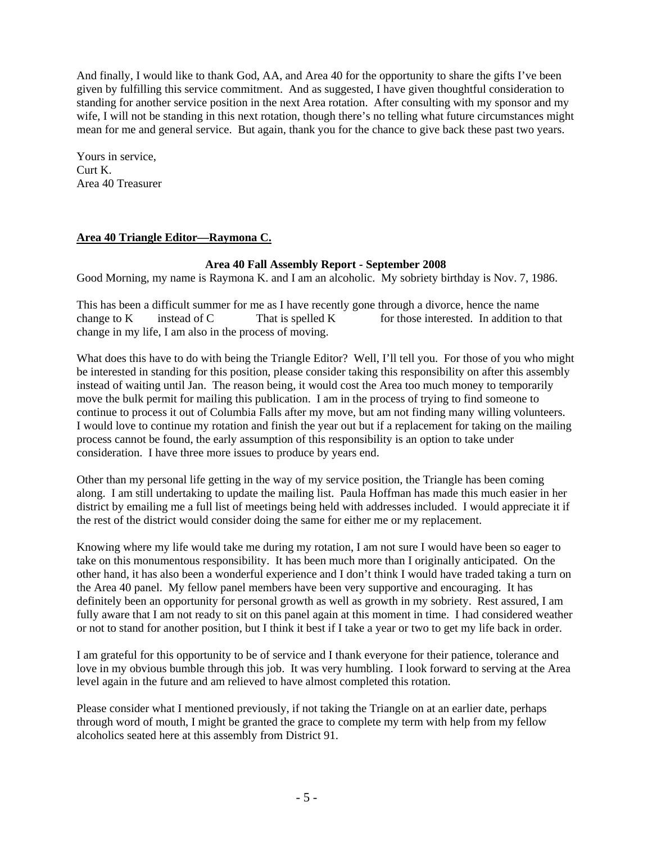And finally, I would like to thank God, AA, and Area 40 for the opportunity to share the gifts I've been given by fulfilling this service commitment. And as suggested, I have given thoughtful consideration to standing for another service position in the next Area rotation. After consulting with my sponsor and my wife, I will not be standing in this next rotation, though there's no telling what future circumstances might mean for me and general service. But again, thank you for the chance to give back these past two years.

Yours in service, Curt K. Area 40 Treasurer

## **Area 40 Triangle Editor—Raymona C.**

### **Area 40 Fall Assembly Report - September 2008**

Good Morning, my name is Raymona K. and I am an alcoholic. My sobriety birthday is Nov. 7, 1986.

This has been a difficult summer for me as I have recently gone through a divorce, hence the name change to Ketterline instead of C<sup>2</sup> E That is spelled K E a for those interested. In addition to that change in my life, I am also in the process of moving.

What does this have to do with being the Triangle Editor? Well, I'll tell you. For those of you who might be interested in standing for this position, please consider taking this responsibility on after this assembly instead of waiting until Jan. The reason being, it would cost the Area too much money to temporarily move the bulk permit for mailing this publication. I am in the process of trying to find someone to continue to process it out of Columbia Falls after my move, but am not finding many willing volunteers. I would love to continue my rotation and finish the year out but if a replacement for taking on the mailing process cannot be found, the early assumption of this responsibility is an option to take under consideration. I have three more issues to produce by years end.

Other than my personal life getting in the way of my service position, the Triangle has been coming along. I am still undertaking to update the mailing list. Paula Hoffman has made this much easier in her district by emailing me a full list of meetings being held with addresses included. I would appreciate it if the rest of the district would consider doing the same for either me or my replacement.

Knowing where my life would take me during my rotation, I am not sure I would have been so eager to take on this monumentous responsibility. It has been much more than I originally anticipated. On the other hand, it has also been a wonderful experience and I don't think I would have traded taking a turn on the Area 40 panel. My fellow panel members have been very supportive and encouraging. It has definitely been an opportunity for personal growth as well as growth in my sobriety. Rest assured, I am fully aware that I am not ready to sit on this panel again at this moment in time. I had considered weather or not to stand for another position, but I think it best if I take a year or two to get my life back in order.

I am grateful for this opportunity to be of service and I thank everyone for their patience, tolerance and love in my obvious bumble through this job. It was very humbling. I look forward to serving at the Area level again in the future and am relieved to have almost completed this rotation.

Please consider what I mentioned previously, if not taking the Triangle on at an earlier date, perhaps through word of mouth, I might be granted the grace to complete my term with help from my fellow alcoholics seated here at this assembly from District 91.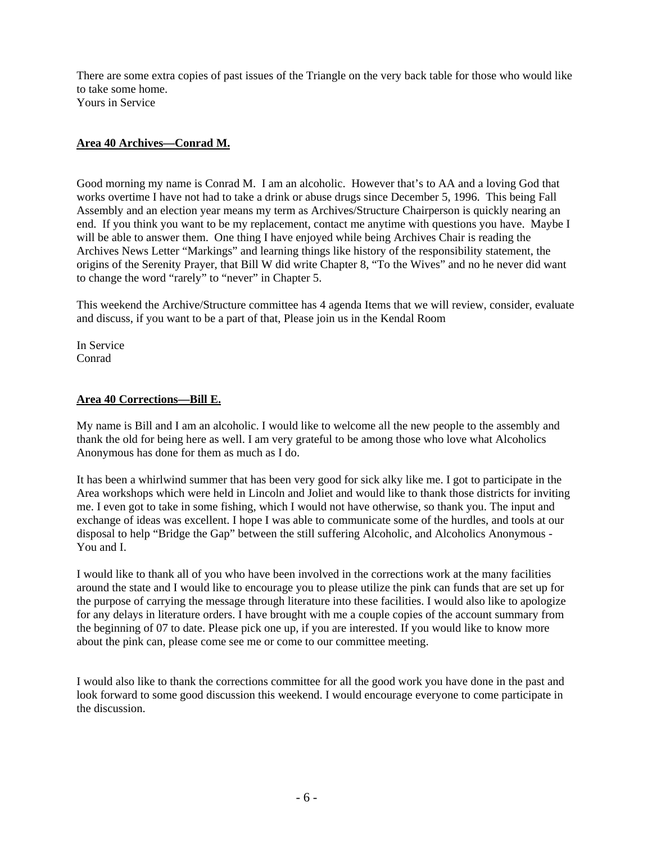There are some extra copies of past issues of the Triangle on the very back table for those who would like to take some home. Yours in Service

## **Area 40 Archives—Conrad M.**

Good morning my name is Conrad M. I am an alcoholic. However that's to AA and a loving God that works overtime I have not had to take a drink or abuse drugs since December 5, 1996. This being Fall Assembly and an election year means my term as Archives/Structure Chairperson is quickly nearing an end. If you think you want to be my replacement, contact me anytime with questions you have. Maybe I will be able to answer them. One thing I have enjoyed while being Archives Chair is reading the Archives News Letter "Markings" and learning things like history of the responsibility statement, the origins of the Serenity Prayer, that Bill W did write Chapter 8, "To the Wives" and no he never did want to change the word "rarely" to "never" in Chapter 5.

This weekend the Archive/Structure committee has 4 agenda Items that we will review, consider, evaluate and discuss, if you want to be a part of that, Please join us in the Kendal Room

In Service Conrad

### **Area 40 Corrections—Bill E.**

My name is Bill and I am an alcoholic. I would like to welcome all the new people to the assembly and thank the old for being here as well. I am very grateful to be among those who love what Alcoholics Anonymous has done for them as much as I do.

It has been a whirlwind summer that has been very good for sick alky like me. I got to participate in the Area workshops which were held in Lincoln and Joliet and would like to thank those districts for inviting me. I even got to take in some fishing, which I would not have otherwise, so thank you. The input and exchange of ideas was excellent. I hope I was able to communicate some of the hurdles, and tools at our disposal to help "Bridge the Gap" between the still suffering Alcoholic, and Alcoholics Anonymous - You and I.

I would like to thank all of you who have been involved in the corrections work at the many facilities around the state and I would like to encourage you to please utilize the pink can funds that are set up for the purpose of carrying the message through literature into these facilities. I would also like to apologize for any delays in literature orders. I have brought with me a couple copies of the account summary from the beginning of 07 to date. Please pick one up, if you are interested. If you would like to know more about the pink can, please come see me or come to our committee meeting.

I would also like to thank the corrections committee for all the good work you have done in the past and look forward to some good discussion this weekend. I would encourage everyone to come participate in the discussion.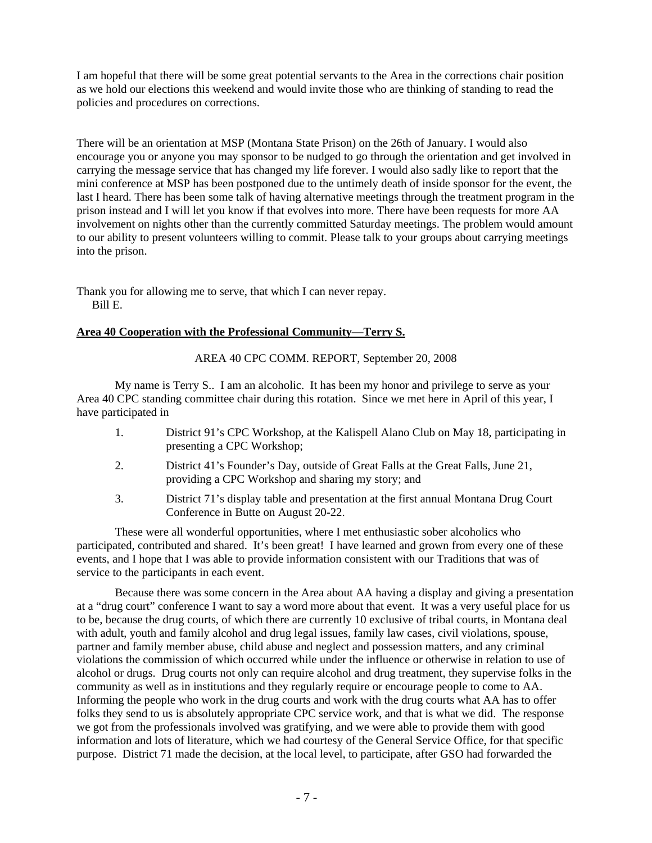I am hopeful that there will be some great potential servants to the Area in the corrections chair position as we hold our elections this weekend and would invite those who are thinking of standing to read the policies and procedures on corrections.

There will be an orientation at MSP (Montana State Prison) on the 26th of January. I would also encourage you or anyone you may sponsor to be nudged to go through the orientation and get involved in carrying the message service that has changed my life forever. I would also sadly like to report that the mini conference at MSP has been postponed due to the untimely death of inside sponsor for the event, the last I heard. There has been some talk of having alternative meetings through the treatment program in the prison instead and I will let you know if that evolves into more. There have been requests for more AA involvement on nights other than the currently committed Saturday meetings. The problem would amount to our ability to present volunteers willing to commit. Please talk to your groups about carrying meetings into the prison.

Thank you for allowing me to serve, that which I can never repay. Bill E.

## **Area 40 Cooperation with the Professional Community—Terry S.**

AREA 40 CPC COMM. REPORT, September 20, 2008

My name is Terry S.. I am an alcoholic. It has been my honor and privilege to serve as your Area 40 CPC standing committee chair during this rotation. Since we met here in April of this year, I have participated in

- 1. District 91's CPC Workshop, at the Kalispell Alano Club on May 18, participating in presenting a CPC Workshop;
- 2. District 41's Founder's Day, outside of Great Falls at the Great Falls, June 21, providing a CPC Workshop and sharing my story; and
- 3. District 71's display table and presentation at the first annual Montana Drug Court Conference in Butte on August 20-22.

These were all wonderful opportunities, where I met enthusiastic sober alcoholics who participated, contributed and shared. It's been great! I have learned and grown from every one of these events, and I hope that I was able to provide information consistent with our Traditions that was of service to the participants in each event.

Because there was some concern in the Area about AA having a display and giving a presentation at a "drug court" conference I want to say a word more about that event. It was a very useful place for us to be, because the drug courts, of which there are currently 10 exclusive of tribal courts, in Montana deal with adult, youth and family alcohol and drug legal issues, family law cases, civil violations, spouse, partner and family member abuse, child abuse and neglect and possession matters, and any criminal violations the commission of which occurred while under the influence or otherwise in relation to use of alcohol or drugs. Drug courts not only can require alcohol and drug treatment, they supervise folks in the community as well as in institutions and they regularly require or encourage people to come to AA. Informing the people who work in the drug courts and work with the drug courts what AA has to offer folks they send to us is absolutely appropriate CPC service work, and that is what we did. The response we got from the professionals involved was gratifying, and we were able to provide them with good information and lots of literature, which we had courtesy of the General Service Office, for that specific purpose. District 71 made the decision, at the local level, to participate, after GSO had forwarded the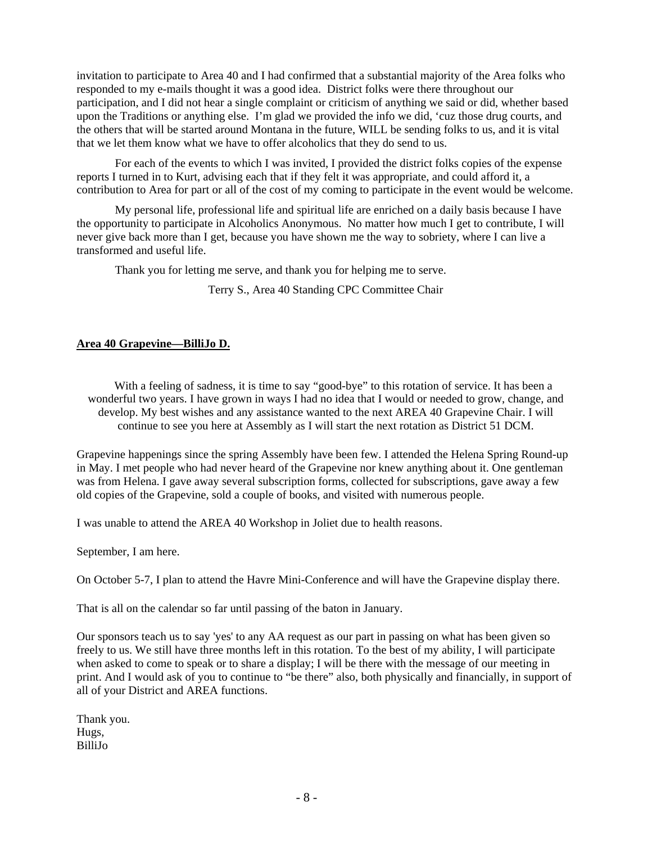invitation to participate to Area 40 and I had confirmed that a substantial majority of the Area folks who responded to my e-mails thought it was a good idea. District folks were there throughout our participation, and I did not hear a single complaint or criticism of anything we said or did, whether based upon the Traditions or anything else. I'm glad we provided the info we did, 'cuz those drug courts, and the others that will be started around Montana in the future, WILL be sending folks to us, and it is vital that we let them know what we have to offer alcoholics that they do send to us.

For each of the events to which I was invited, I provided the district folks copies of the expense reports I turned in to Kurt, advising each that if they felt it was appropriate, and could afford it, a contribution to Area for part or all of the cost of my coming to participate in the event would be welcome.

My personal life, professional life and spiritual life are enriched on a daily basis because I have the opportunity to participate in Alcoholics Anonymous. No matter how much I get to contribute, I will never give back more than I get, because you have shown me the way to sobriety, where I can live a transformed and useful life.

Thank you for letting me serve, and thank you for helping me to serve.

Terry S., Area 40 Standing CPC Committee Chair

## **Area 40 Grapevine—BilliJo D.**

 With a feeling of sadness, it is time to say "good-bye" to this rotation of service. It has been a wonderful two years. I have grown in ways I had no idea that I would or needed to grow, change, and develop. My best wishes and any assistance wanted to the next AREA 40 Grapevine Chair. I will continue to see you here at Assembly as I will start the next rotation as District 51 DCM.

Grapevine happenings since the spring Assembly have been few. I attended the Helena Spring Round-up in May. I met people who had never heard of the Grapevine nor knew anything about it. One gentleman was from Helena. I gave away several subscription forms, collected for subscriptions, gave away a few old copies of the Grapevine, sold a couple of books, and visited with numerous people.

I was unable to attend the AREA 40 Workshop in Joliet due to health reasons.

September, I am here.

On October 5-7, I plan to attend the Havre Mini-Conference and will have the Grapevine display there.

That is all on the calendar so far until passing of the baton in January.

Our sponsors teach us to say 'yes' to any AA request as our part in passing on what has been given so freely to us. We still have three months left in this rotation. To the best of my ability, I will participate when asked to come to speak or to share a display; I will be there with the message of our meeting in print. And I would ask of you to continue to "be there" also, both physically and financially, in support of all of your District and AREA functions.

Thank you. Hugs, BilliJo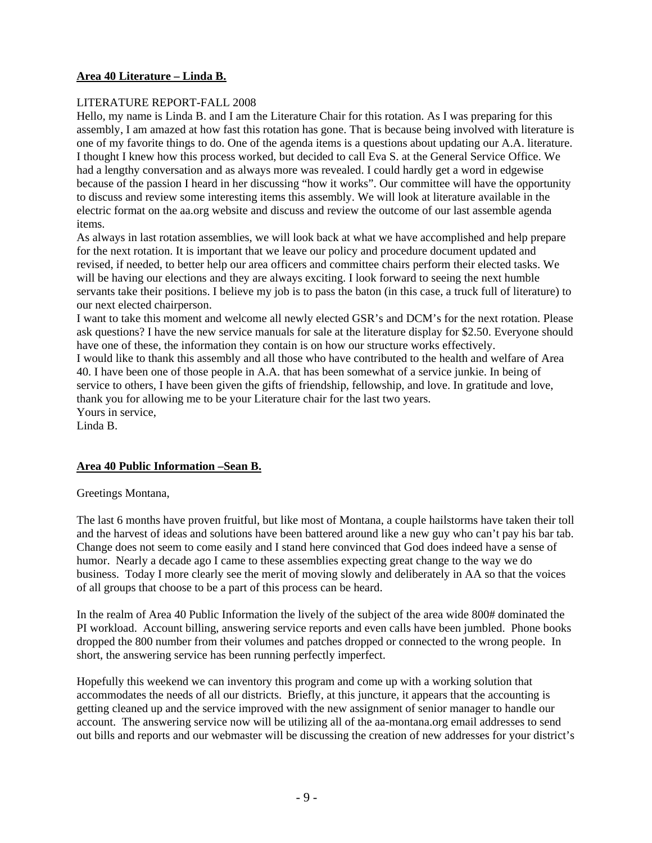# **Area 40 Literature – Linda B.**

## LITERATURE REPORT-FALL 2008

Hello, my name is Linda B. and I am the Literature Chair for this rotation. As I was preparing for this assembly, I am amazed at how fast this rotation has gone. That is because being involved with literature is one of my favorite things to do. One of the agenda items is a questions about updating our A.A. literature. I thought I knew how this process worked, but decided to call Eva S. at the General Service Office. We had a lengthy conversation and as always more was revealed. I could hardly get a word in edgewise because of the passion I heard in her discussing "how it works". Our committee will have the opportunity to discuss and review some interesting items this assembly. We will look at literature available in the electric format on the aa.org website and discuss and review the outcome of our last assemble agenda items.

As always in last rotation assemblies, we will look back at what we have accomplished and help prepare for the next rotation. It is important that we leave our policy and procedure document updated and revised, if needed, to better help our area officers and committee chairs perform their elected tasks. We will be having our elections and they are always exciting. I look forward to seeing the next humble servants take their positions. I believe my job is to pass the baton (in this case, a truck full of literature) to our next elected chairperson.

I want to take this moment and welcome all newly elected GSR's and DCM's for the next rotation. Please ask questions? I have the new service manuals for sale at the literature display for \$2.50. Everyone should have one of these, the information they contain is on how our structure works effectively.

I would like to thank this assembly and all those who have contributed to the health and welfare of Area 40. I have been one of those people in A.A. that has been somewhat of a service junkie. In being of service to others, I have been given the gifts of friendship, fellowship, and love. In gratitude and love, thank you for allowing me to be your Literature chair for the last two years. Yours in service,

Linda B.

### **Area 40 Public Information –Sean B.**

Greetings Montana,

The last 6 months have proven fruitful, but like most of Montana, a couple hailstorms have taken their toll and the harvest of ideas and solutions have been battered around like a new guy who can't pay his bar tab. Change does not seem to come easily and I stand here convinced that God does indeed have a sense of humor. Nearly a decade ago I came to these assemblies expecting great change to the way we do business. Today I more clearly see the merit of moving slowly and deliberately in AA so that the voices of all groups that choose to be a part of this process can be heard.

In the realm of Area 40 Public Information the lively of the subject of the area wide 800# dominated the PI workload. Account billing, answering service reports and even calls have been jumbled. Phone books dropped the 800 number from their volumes and patches dropped or connected to the wrong people. In short, the answering service has been running perfectly imperfect.

Hopefully this weekend we can inventory this program and come up with a working solution that accommodates the needs of all our districts. Briefly, at this juncture, it appears that the accounting is getting cleaned up and the service improved with the new assignment of senior manager to handle our account. The answering service now will be utilizing all of the aa-montana.org email addresses to send out bills and reports and our webmaster will be discussing the creation of new addresses for your district's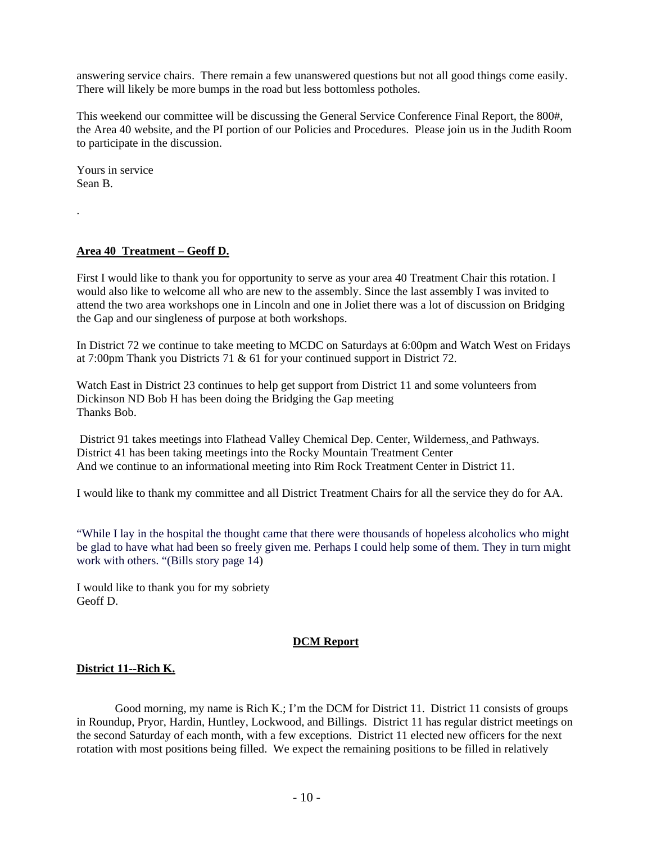answering service chairs. There remain a few unanswered questions but not all good things come easily. There will likely be more bumps in the road but less bottomless potholes.

This weekend our committee will be discussing the General Service Conference Final Report, the 800#, the Area 40 website, and the PI portion of our Policies and Procedures. Please join us in the Judith Room to participate in the discussion.

Yours in service Sean B.

.

### **Area 40 Treatment – Geoff D.**

First I would like to thank you for opportunity to serve as your area 40 Treatment Chair this rotation. I would also like to welcome all who are new to the assembly. Since the last assembly I was invited to attend the two area workshops one in Lincoln and one in Joliet there was a lot of discussion on Bridging the Gap and our singleness of purpose at both workshops.

In District 72 we continue to take meeting to MCDC on Saturdays at 6:00pm and Watch West on Fridays at 7:00pm Thank you Districts 71 & 61 for your continued support in District 72.

Watch East in District 23 continues to help get support from District 11 and some volunteers from Dickinson ND Bob H has been doing the Bridging the Gap meeting Thanks Bob.

 District 91 takes meetings into Flathead Valley Chemical Dep. Center, Wilderness, and Pathways. District 41 has been taking meetings into the Rocky Mountain Treatment Center And we continue to an informational meeting into Rim Rock Treatment Center in District 11.

I would like to thank my committee and all District Treatment Chairs for all the service they do for AA.

"While I lay in the hospital the thought came that there were thousands of hopeless alcoholics who might be glad to have what had been so freely given me. Perhaps I could help some of them. They in turn might work with others. "(Bills story page 14)

I would like to thank you for my sobriety Geoff D.

### **DCM Report**

### **District 11--Rich K.**

Good morning, my name is Rich K.; I'm the DCM for District 11. District 11 consists of groups in Roundup, Pryor, Hardin, Huntley, Lockwood, and Billings. District 11 has regular district meetings on the second Saturday of each month, with a few exceptions. District 11 elected new officers for the next rotation with most positions being filled. We expect the remaining positions to be filled in relatively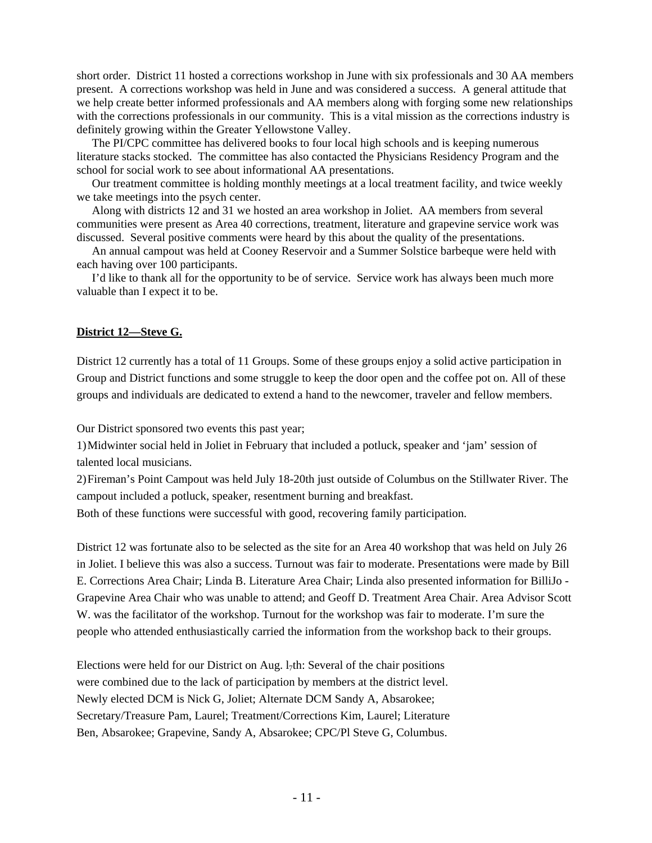short order. District 11 hosted a corrections workshop in June with six professionals and 30 AA members present. A corrections workshop was held in June and was considered a success. A general attitude that we help create better informed professionals and AA members along with forging some new relationships with the corrections professionals in our community. This is a vital mission as the corrections industry is definitely growing within the Greater Yellowstone Valley.

 The PI/CPC committee has delivered books to four local high schools and is keeping numerous literature stacks stocked. The committee has also contacted the Physicians Residency Program and the school for social work to see about informational AA presentations.

 Our treatment committee is holding monthly meetings at a local treatment facility, and twice weekly we take meetings into the psych center.

 Along with districts 12 and 31 we hosted an area workshop in Joliet. AA members from several communities were present as Area 40 corrections, treatment, literature and grapevine service work was discussed. Several positive comments were heard by this about the quality of the presentations.

 An annual campout was held at Cooney Reservoir and a Summer Solstice barbeque were held with each having over 100 participants.

 I'd like to thank all for the opportunity to be of service. Service work has always been much more valuable than I expect it to be.

### **District 12—Steve G.**

District 12 currently has a total of 11 Groups. Some of these groups enjoy a solid active participation in Group and District functions and some struggle to keep the door open and the coffee pot on. All of these groups and individuals are dedicated to extend a hand to the newcomer, traveler and fellow members.

Our District sponsored two events this past year;

1) Midwinter social held in Joliet in February that included a potluck, speaker and 'jam' session of talented local musicians.

2) Fireman's Point Campout was held July 18-20th just outside of Columbus on the Stillwater River. The campout included a potluck, speaker, resentment burning and breakfast.

Both of these functions were successful with good, recovering family participation.

District 12 was fortunate also to be selected as the site for an Area 40 workshop that was held on July 26 in Joliet. I believe this was also a success. Turnout was fair to moderate. Presentations were made by Bill E. Corrections Area Chair; Linda B. Literature Area Chair; Linda also presented information for BilliJo - Grapevine Area Chair who was unable to attend; and Geoff D. Treatment Area Chair. Area Advisor Scott W. was the facilitator of the workshop. Turnout for the workshop was fair to moderate. I'm sure the people who attended enthusiastically carried the information from the workshop back to their groups.

Elections were held for our District on Aug.  $1<sub>7</sub>th$ : Several of the chair positions were combined due to the lack of participation by members at the district level. Newly elected DCM is Nick G, Joliet; Alternate DCM Sandy A, Absarokee; Secretary/Treasure Pam, Laurel; Treatment/Corrections Kim, Laurel; Literature Ben, Absarokee; Grapevine, Sandy A, Absarokee; CPC/Pl Steve G, Columbus.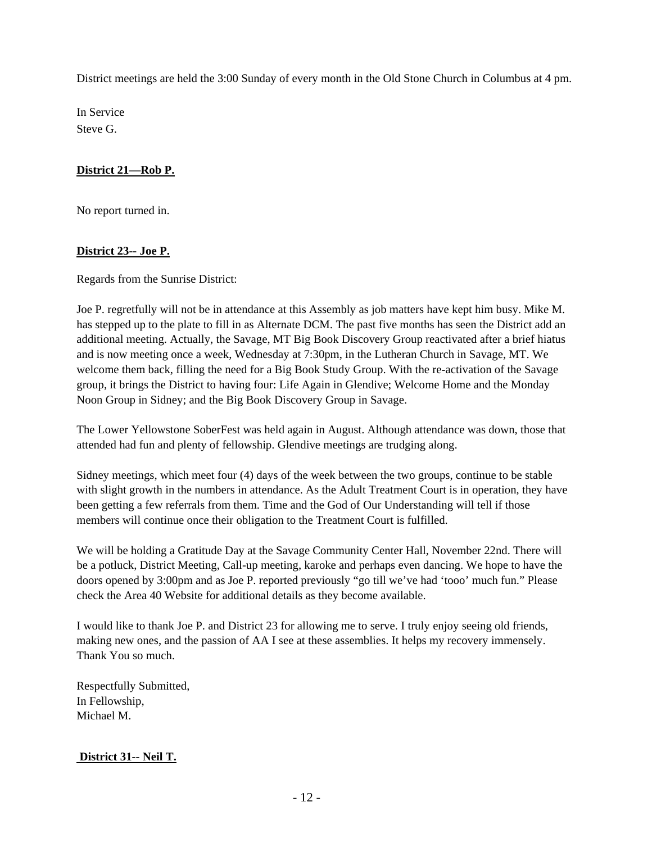District meetings are held the 3:00 Sunday of every month in the Old Stone Church in Columbus at 4 pm.

In Service Steve G.

# **District 21—Rob P.**

No report turned in.

# **District 23-- Joe P.**

Regards from the Sunrise District:

Joe P. regretfully will not be in attendance at this Assembly as job matters have kept him busy. Mike M. has stepped up to the plate to fill in as Alternate DCM. The past five months has seen the District add an additional meeting. Actually, the Savage, MT Big Book Discovery Group reactivated after a brief hiatus and is now meeting once a week, Wednesday at 7:30pm, in the Lutheran Church in Savage, MT. We welcome them back, filling the need for a Big Book Study Group. With the re-activation of the Savage group, it brings the District to having four: Life Again in Glendive; Welcome Home and the Monday Noon Group in Sidney; and the Big Book Discovery Group in Savage.

The Lower Yellowstone SoberFest was held again in August. Although attendance was down, those that attended had fun and plenty of fellowship. Glendive meetings are trudging along.

Sidney meetings, which meet four (4) days of the week between the two groups, continue to be stable with slight growth in the numbers in attendance. As the Adult Treatment Court is in operation, they have been getting a few referrals from them. Time and the God of Our Understanding will tell if those members will continue once their obligation to the Treatment Court is fulfilled.

We will be holding a Gratitude Day at the Savage Community Center Hall, November 22nd. There will be a potluck, District Meeting, Call-up meeting, karoke and perhaps even dancing. We hope to have the doors opened by 3:00pm and as Joe P. reported previously "go till we've had 'tooo' much fun." Please check the Area 40 Website for additional details as they become available.

I would like to thank Joe P. and District 23 for allowing me to serve. I truly enjoy seeing old friends, making new ones, and the passion of AA I see at these assemblies. It helps my recovery immensely. Thank You so much.

Respectfully Submitted, In Fellowship, Michael M.

# **District 31-- Neil T.**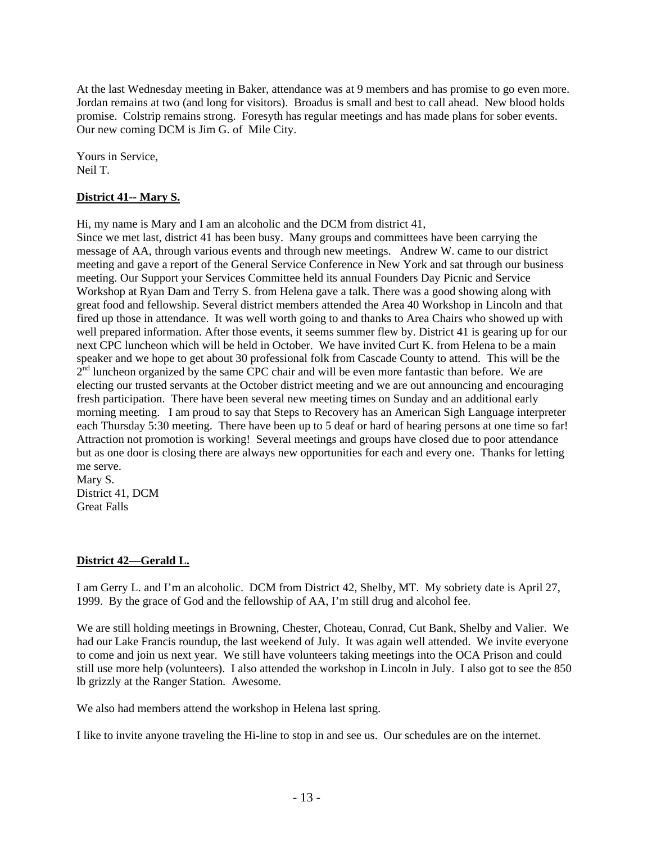At the last Wednesday meeting in Baker, attendance was at 9 members and has promise to go even more. Jordan remains at two (and long for visitors). Broadus is small and best to call ahead. New blood holds promise. Colstrip remains strong. Foresyth has regular meetings and has made plans for sober events. Our new coming DCM is Jim G. of Mile City.

Yours in Service, Neil T.

## **District 41-- Mary S.**

Hi, my name is Mary and I am an alcoholic and the DCM from district 41,

Since we met last, district 41 has been busy. Many groups and committees have been carrying the message of AA, through various events and through new meetings. Andrew W. came to our district meeting and gave a report of the General Service Conference in New York and sat through our business meeting. Our Support your Services Committee held its annual Founders Day Picnic and Service Workshop at Ryan Dam and Terry S. from Helena gave a talk. There was a good showing along with great food and fellowship. Several district members attended the Area 40 Workshop in Lincoln and that fired up those in attendance. It was well worth going to and thanks to Area Chairs who showed up with well prepared information. After those events, it seems summer flew by. District 41 is gearing up for our next CPC luncheon which will be held in October. We have invited Curt K. from Helena to be a main speaker and we hope to get about 30 professional folk from Cascade County to attend. This will be the  $2<sup>nd</sup>$  luncheon organized by the same CPC chair and will be even more fantastic than before. We are electing our trusted servants at the October district meeting and we are out announcing and encouraging fresh participation. There have been several new meeting times on Sunday and an additional early morning meeting. I am proud to say that Steps to Recovery has an American Sigh Language interpreter each Thursday 5:30 meeting. There have been up to 5 deaf or hard of hearing persons at one time so far! Attraction not promotion is working! Several meetings and groups have closed due to poor attendance but as one door is closing there are always new opportunities for each and every one. Thanks for letting me serve.

Mary S. District 41, DCM Great Falls

### **District 42—Gerald L.**

I am Gerry L. and I'm an alcoholic. DCM from District 42, Shelby, MT. My sobriety date is April 27, 1999. By the grace of God and the fellowship of AA, I'm still drug and alcohol fee.

We are still holding meetings in Browning, Chester, Choteau, Conrad, Cut Bank, Shelby and Valier. We had our Lake Francis roundup, the last weekend of July. It was again well attended. We invite everyone to come and join us next year. We still have volunteers taking meetings into the OCA Prison and could still use more help (volunteers). I also attended the workshop in Lincoln in July. I also got to see the 850 lb grizzly at the Ranger Station. Awesome.

We also had members attend the workshop in Helena last spring.

I like to invite anyone traveling the Hi-line to stop in and see us. Our schedules are on the internet.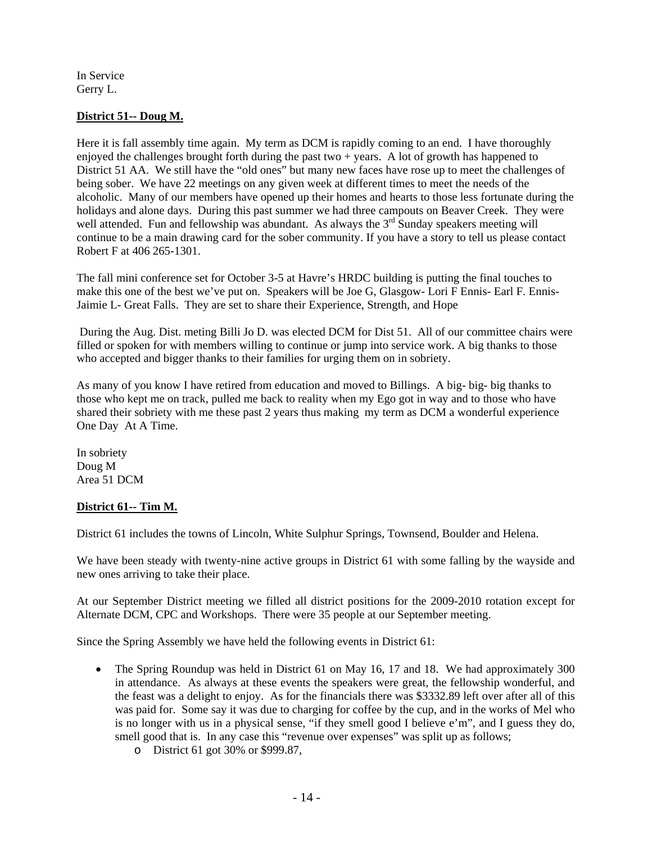In Service Gerry L.

## **District 51-- Doug M.**

Here it is fall assembly time again. My term as DCM is rapidly coming to an end. I have thoroughly enjoyed the challenges brought forth during the past two  $+$  years. A lot of growth has happened to District 51 AA. We still have the "old ones" but many new faces have rose up to meet the challenges of being sober. We have 22 meetings on any given week at different times to meet the needs of the alcoholic. Many of our members have opened up their homes and hearts to those less fortunate during the holidays and alone days. During this past summer we had three campouts on Beaver Creek. They were well attended. Fun and fellowship was abundant. As always the  $3<sup>rd</sup>$  Sunday speakers meeting will continue to be a main drawing card for the sober community. If you have a story to tell us please contact Robert F at 406 265-1301.

The fall mini conference set for October 3-5 at Havre's HRDC building is putting the final touches to make this one of the best we've put on. Speakers will be Joe G, Glasgow- Lori F Ennis- Earl F. Ennis-Jaimie L- Great Falls. They are set to share their Experience, Strength, and Hope

 During the Aug. Dist. meting Billi Jo D. was elected DCM for Dist 51. All of our committee chairs were filled or spoken for with members willing to continue or jump into service work. A big thanks to those who accepted and bigger thanks to their families for urging them on in sobriety.

As many of you know I have retired from education and moved to Billings. A big- big- big thanks to those who kept me on track, pulled me back to reality when my Ego got in way and to those who have shared their sobriety with me these past 2 years thus making my term as DCM a wonderful experience One Day At A Time.

In sobriety Doug M Area 51 DCM

### **District 61-- Tim M.**

District 61 includes the towns of Lincoln, White Sulphur Springs, Townsend, Boulder and Helena.

We have been steady with twenty-nine active groups in District 61 with some falling by the wayside and new ones arriving to take their place.

At our September District meeting we filled all district positions for the 2009-2010 rotation except for Alternate DCM, CPC and Workshops. There were 35 people at our September meeting.

Since the Spring Assembly we have held the following events in District 61:

- The Spring Roundup was held in District 61 on May 16, 17 and 18. We had approximately 300 in attendance. As always at these events the speakers were great, the fellowship wonderful, and the feast was a delight to enjoy. As for the financials there was \$3332.89 left over after all of this was paid for. Some say it was due to charging for coffee by the cup, and in the works of Mel who is no longer with us in a physical sense, "if they smell good I believe e'm", and I guess they do, smell good that is. In any case this "revenue over expenses" was split up as follows;
	- o District 61 got 30% or \$999.87,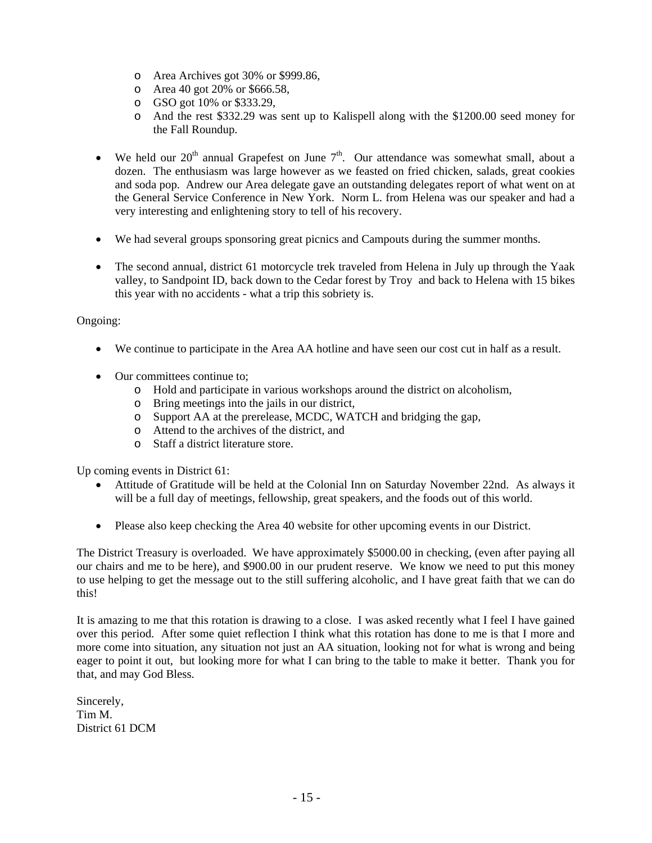- o Area Archives got 30% or \$999.86,
- o Area 40 got 20% or \$666.58,
- o GSO got 10% or \$333.29,
- o And the rest \$332.29 was sent up to Kalispell along with the \$1200.00 seed money for the Fall Roundup.
- We held our  $20<sup>th</sup>$  annual Grapefest on June  $7<sup>th</sup>$ . Our attendance was somewhat small, about a dozen. The enthusiasm was large however as we feasted on fried chicken, salads, great cookies and soda pop. Andrew our Area delegate gave an outstanding delegates report of what went on at the General Service Conference in New York. Norm L. from Helena was our speaker and had a very interesting and enlightening story to tell of his recovery.
- We had several groups sponsoring great picnics and Campouts during the summer months.
- The second annual, district 61 motorcycle trek traveled from Helena in July up through the Yaak valley, to Sandpoint ID, back down to the Cedar forest by Troy and back to Helena with 15 bikes this year with no accidents - what a trip this sobriety is.

### Ongoing:

- We continue to participate in the Area AA hotline and have seen our cost cut in half as a result.
- Our committees continue to:
	- o Hold and participate in various workshops around the district on alcoholism,
	- o Bring meetings into the jails in our district,
	- o Support AA at the prerelease, MCDC, WATCH and bridging the gap,
	- o Attend to the archives of the district, and
	- o Staff a district literature store.

Up coming events in District 61:

- Attitude of Gratitude will be held at the Colonial Inn on Saturday November 22nd. As always it will be a full day of meetings, fellowship, great speakers, and the foods out of this world.
- Please also keep checking the Area 40 website for other upcoming events in our District.

The District Treasury is overloaded. We have approximately \$5000.00 in checking, (even after paying all our chairs and me to be here), and \$900.00 in our prudent reserve. We know we need to put this money to use helping to get the message out to the still suffering alcoholic, and I have great faith that we can do this!

It is amazing to me that this rotation is drawing to a close. I was asked recently what I feel I have gained over this period. After some quiet reflection I think what this rotation has done to me is that I more and more come into situation, any situation not just an AA situation, looking not for what is wrong and being eager to point it out, but looking more for what I can bring to the table to make it better. Thank you for that, and may God Bless.

Sincerely, Tim M. District 61 DCM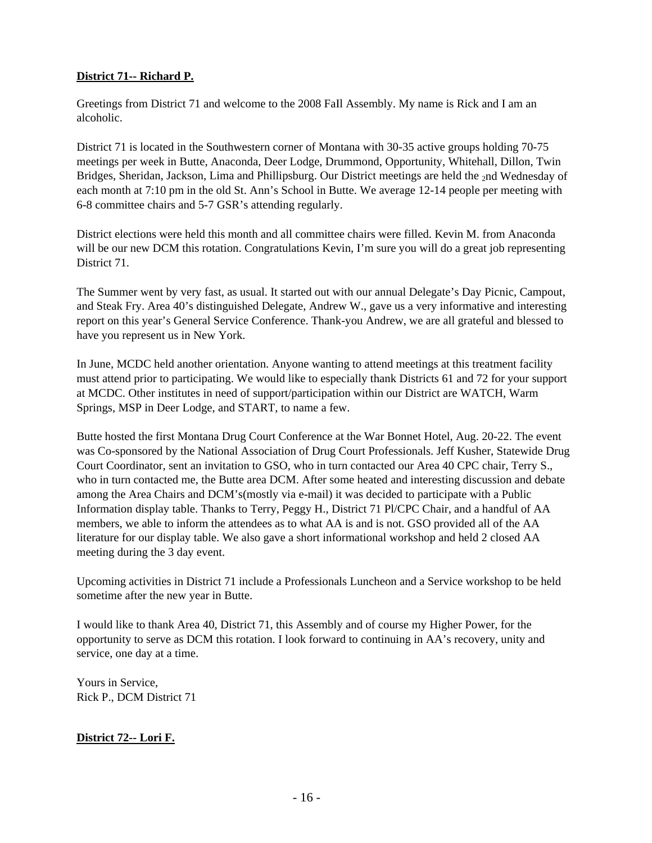# **District 71-- Richard P.**

Greetings from District 71 and welcome to the 2008 FaIl Assembly. My name is Rick and I am an alcoholic.

District 71 is located in the Southwestern corner of Montana with 30-35 active groups holding 70-75 meetings per week in Butte, Anaconda, Deer Lodge, Drummond, Opportunity, Whitehall, Dillon, Twin Bridges, Sheridan, Jackson, Lima and Phillipsburg. Our District meetings are held the 2nd Wednesday of each month at 7:10 pm in the old St. Ann's School in Butte. We average 12-14 people per meeting with 6-8 committee chairs and 5-7 GSR's attending regularly.

District elections were held this month and all committee chairs were filled. Kevin M. from Anaconda will be our new DCM this rotation. Congratulations Kevin, I'm sure you will do a great job representing District 71.

The Summer went by very fast, as usual. It started out with our annual Delegate's Day Picnic, Campout, and Steak Fry. Area 40's distinguished Delegate, Andrew W., gave us a very informative and interesting report on this year's General Service Conference. Thank-you Andrew, we are all grateful and blessed to have you represent us in New York.

In June, MCDC held another orientation. Anyone wanting to attend meetings at this treatment facility must attend prior to participating. We would like to especially thank Districts 61 and 72 for your support at MCDC. Other institutes in need of support/participation within our District are WATCH, Warm Springs, MSP in Deer Lodge, and START, to name a few.

Butte hosted the first Montana Drug Court Conference at the War Bonnet Hotel, Aug. 20-22. The event was Co-sponsored by the National Association of Drug Court Professionals. Jeff Kusher, Statewide Drug Court Coordinator, sent an invitation to GSO, who in turn contacted our Area 40 CPC chair, Terry S., who in turn contacted me, the Butte area DCM. After some heated and interesting discussion and debate among the Area Chairs and DCM's(mostly via e-mail) it was decided to participate with a Public Information display table. Thanks to Terry, Peggy H., District 71 Pl/CPC Chair, and a handful of AA members, we able to inform the attendees as to what AA is and is not. GSO provided all of the AA literature for our display table. We also gave a short informational workshop and held 2 closed AA meeting during the 3 day event.

Upcoming activities in District 71 include a Professionals Luncheon and a Service workshop to be held sometime after the new year in Butte.

I would like to thank Area 40, District 71, this Assembly and of course my Higher Power, for the opportunity to serve as DCM this rotation. I look forward to continuing in AA's recovery, unity and service, one day at a time.

Yours in Service, Rick P., DCM District 71

# **District 72-- Lori F.**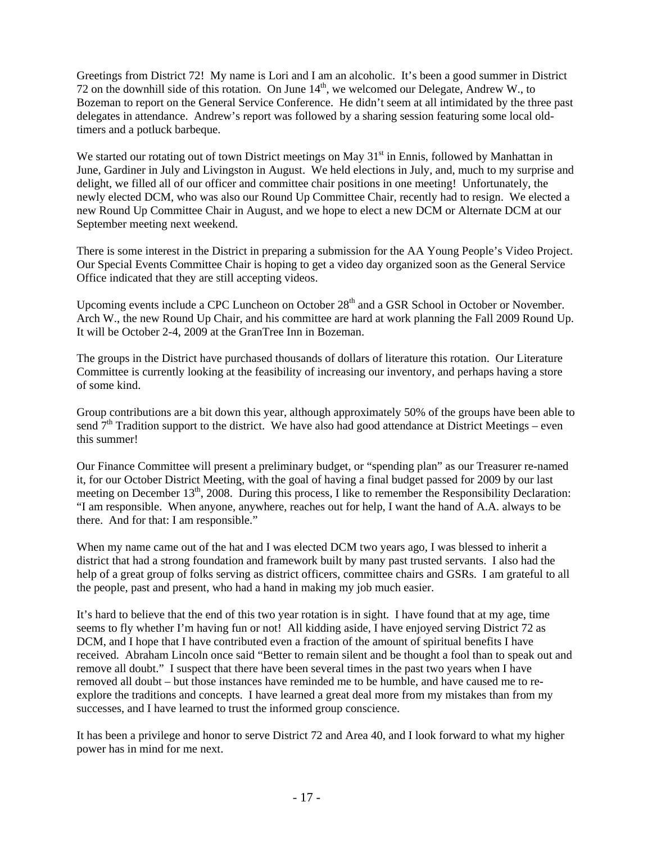Greetings from District 72! My name is Lori and I am an alcoholic. It's been a good summer in District 72 on the downhill side of this rotation. On June  $14<sup>th</sup>$ , we welcomed our Delegate, Andrew W., to Bozeman to report on the General Service Conference. He didn't seem at all intimidated by the three past delegates in attendance. Andrew's report was followed by a sharing session featuring some local oldtimers and a potluck barbeque.

We started our rotating out of town District meetings on May  $31<sup>st</sup>$  in Ennis, followed by Manhattan in June, Gardiner in July and Livingston in August. We held elections in July, and, much to my surprise and delight, we filled all of our officer and committee chair positions in one meeting! Unfortunately, the newly elected DCM, who was also our Round Up Committee Chair, recently had to resign. We elected a new Round Up Committee Chair in August, and we hope to elect a new DCM or Alternate DCM at our September meeting next weekend.

There is some interest in the District in preparing a submission for the AA Young People's Video Project. Our Special Events Committee Chair is hoping to get a video day organized soon as the General Service Office indicated that they are still accepting videos.

Upcoming events include a CPC Luncheon on October 28<sup>th</sup> and a GSR School in October or November. Arch W., the new Round Up Chair, and his committee are hard at work planning the Fall 2009 Round Up. It will be October 2-4, 2009 at the GranTree Inn in Bozeman.

The groups in the District have purchased thousands of dollars of literature this rotation. Our Literature Committee is currently looking at the feasibility of increasing our inventory, and perhaps having a store of some kind.

Group contributions are a bit down this year, although approximately 50% of the groups have been able to send  $7<sup>th</sup>$  Tradition support to the district. We have also had good attendance at District Meetings – even this summer!

Our Finance Committee will present a preliminary budget, or "spending plan" as our Treasurer re-named it, for our October District Meeting, with the goal of having a final budget passed for 2009 by our last meeting on December 13<sup>th</sup>, 2008. During this process, I like to remember the Responsibility Declaration: "I am responsible. When anyone, anywhere, reaches out for help, I want the hand of A.A. always to be there. And for that: I am responsible."

When my name came out of the hat and I was elected DCM two years ago, I was blessed to inherit a district that had a strong foundation and framework built by many past trusted servants. I also had the help of a great group of folks serving as district officers, committee chairs and GSRs. I am grateful to all the people, past and present, who had a hand in making my job much easier.

It's hard to believe that the end of this two year rotation is in sight. I have found that at my age, time seems to fly whether I'm having fun or not! All kidding aside, I have enjoyed serving District 72 as DCM, and I hope that I have contributed even a fraction of the amount of spiritual benefits I have received. Abraham Lincoln once said "Better to remain silent and be thought a fool than to speak out and remove all doubt." I suspect that there have been several times in the past two years when I have removed all doubt – but those instances have reminded me to be humble, and have caused me to reexplore the traditions and concepts. I have learned a great deal more from my mistakes than from my successes, and I have learned to trust the informed group conscience.

It has been a privilege and honor to serve District 72 and Area 40, and I look forward to what my higher power has in mind for me next.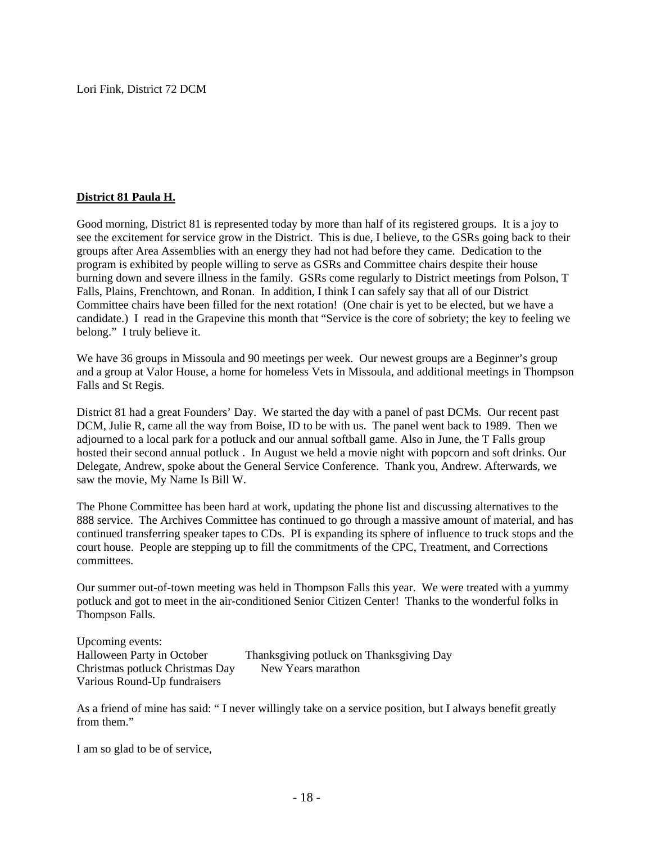Lori Fink, District 72 DCM

### **District 81 Paula H.**

Good morning, District 81 is represented today by more than half of its registered groups. It is a joy to see the excitement for service grow in the District. This is due, I believe, to the GSRs going back to their groups after Area Assemblies with an energy they had not had before they came. Dedication to the program is exhibited by people willing to serve as GSRs and Committee chairs despite their house burning down and severe illness in the family. GSRs come regularly to District meetings from Polson, T Falls, Plains, Frenchtown, and Ronan. In addition, I think I can safely say that all of our District Committee chairs have been filled for the next rotation! (One chair is yet to be elected, but we have a candidate.) I read in the Grapevine this month that "Service is the core of sobriety; the key to feeling we belong." I truly believe it.

We have 36 groups in Missoula and 90 meetings per week. Our newest groups are a Beginner's group and a group at Valor House, a home for homeless Vets in Missoula, and additional meetings in Thompson Falls and St Regis.

District 81 had a great Founders' Day. We started the day with a panel of past DCMs. Our recent past DCM, Julie R, came all the way from Boise, ID to be with us. The panel went back to 1989. Then we adjourned to a local park for a potluck and our annual softball game. Also in June, the T Falls group hosted their second annual potluck . In August we held a movie night with popcorn and soft drinks. Our Delegate, Andrew, spoke about the General Service Conference. Thank you, Andrew. Afterwards, we saw the movie, My Name Is Bill W.

The Phone Committee has been hard at work, updating the phone list and discussing alternatives to the 888 service. The Archives Committee has continued to go through a massive amount of material, and has continued transferring speaker tapes to CDs. PI is expanding its sphere of influence to truck stops and the court house. People are stepping up to fill the commitments of the CPC, Treatment, and Corrections committees.

Our summer out-of-town meeting was held in Thompson Falls this year. We were treated with a yummy potluck and got to meet in the air-conditioned Senior Citizen Center! Thanks to the wonderful folks in Thompson Falls.

Upcoming events: Halloween Party in October Thanksgiving potluck on Thanksgiving Day Christmas potluck Christmas Day New Years marathon Various Round-Up fundraisers

As a friend of mine has said: " I never willingly take on a service position, but I always benefit greatly from them."

I am so glad to be of service,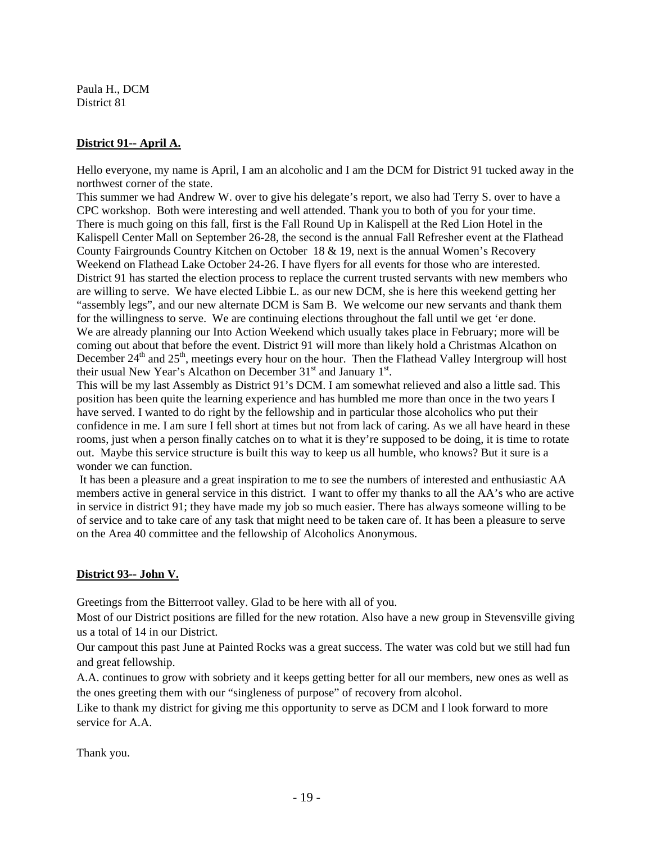Paula H., DCM District 81

# **District 91-- April A.**

Hello everyone, my name is April, I am an alcoholic and I am the DCM for District 91 tucked away in the northwest corner of the state.

This summer we had Andrew W. over to give his delegate's report, we also had Terry S. over to have a CPC workshop. Both were interesting and well attended. Thank you to both of you for your time. There is much going on this fall, first is the Fall Round Up in Kalispell at the Red Lion Hotel in the Kalispell Center Mall on September 26-28, the second is the annual Fall Refresher event at the Flathead County Fairgrounds Country Kitchen on October 18 & 19, next is the annual Women's Recovery Weekend on Flathead Lake October 24-26. I have flyers for all events for those who are interested. District 91 has started the election process to replace the current trusted servants with new members who are willing to serve. We have elected Libbie L. as our new DCM, she is here this weekend getting her "assembly legs", and our new alternate DCM is Sam B. We welcome our new servants and thank them for the willingness to serve. We are continuing elections throughout the fall until we get 'er done. We are already planning our Into Action Weekend which usually takes place in February; more will be coming out about that before the event. District 91 will more than likely hold a Christmas Alcathon on December  $24<sup>th</sup>$  and  $25<sup>th</sup>$ , meetings every hour on the hour. Then the Flathead Valley Intergroup will host their usual New Year's Alcathon on December  $31<sup>st</sup>$  and January  $1<sup>st</sup>$ .

This will be my last Assembly as District 91's DCM. I am somewhat relieved and also a little sad. This position has been quite the learning experience and has humbled me more than once in the two years I have served. I wanted to do right by the fellowship and in particular those alcoholics who put their confidence in me. I am sure I fell short at times but not from lack of caring. As we all have heard in these rooms, just when a person finally catches on to what it is they're supposed to be doing, it is time to rotate out. Maybe this service structure is built this way to keep us all humble, who knows? But it sure is a wonder we can function.

 It has been a pleasure and a great inspiration to me to see the numbers of interested and enthusiastic AA members active in general service in this district. I want to offer my thanks to all the AA's who are active in service in district 91; they have made my job so much easier. There has always someone willing to be of service and to take care of any task that might need to be taken care of. It has been a pleasure to serve on the Area 40 committee and the fellowship of Alcoholics Anonymous.

# **District 93-- John V.**

Greetings from the Bitterroot valley. Glad to be here with all of you.

Most of our District positions are filled for the new rotation. Also have a new group in Stevensville giving us a total of 14 in our District.

Our campout this past June at Painted Rocks was a great success. The water was cold but we still had fun and great fellowship.

A.A. continues to grow with sobriety and it keeps getting better for all our members, new ones as well as the ones greeting them with our "singleness of purpose" of recovery from alcohol.

Like to thank my district for giving me this opportunity to serve as DCM and I look forward to more service for A.A.

Thank you.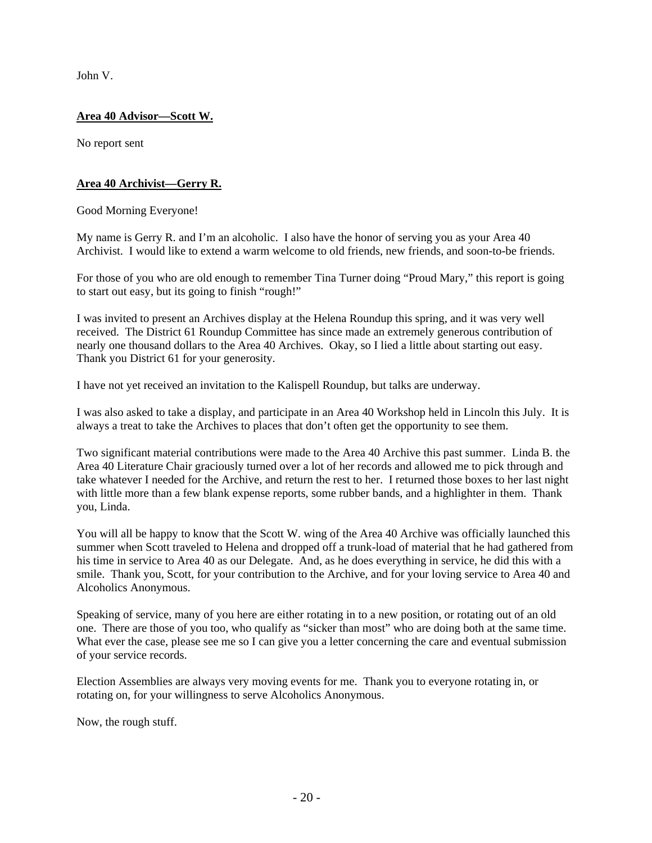John V.

# **Area 40 Advisor—Scott W.**

No report sent

# **Area 40 Archivist—Gerry R.**

Good Morning Everyone!

My name is Gerry R. and I'm an alcoholic. I also have the honor of serving you as your Area 40 Archivist. I would like to extend a warm welcome to old friends, new friends, and soon-to-be friends.

For those of you who are old enough to remember Tina Turner doing "Proud Mary," this report is going to start out easy, but its going to finish "rough!"

I was invited to present an Archives display at the Helena Roundup this spring, and it was very well received. The District 61 Roundup Committee has since made an extremely generous contribution of nearly one thousand dollars to the Area 40 Archives. Okay, so I lied a little about starting out easy. Thank you District 61 for your generosity.

I have not yet received an invitation to the Kalispell Roundup, but talks are underway.

I was also asked to take a display, and participate in an Area 40 Workshop held in Lincoln this July. It is always a treat to take the Archives to places that don't often get the opportunity to see them.

Two significant material contributions were made to the Area 40 Archive this past summer. Linda B. the Area 40 Literature Chair graciously turned over a lot of her records and allowed me to pick through and take whatever I needed for the Archive, and return the rest to her. I returned those boxes to her last night with little more than a few blank expense reports, some rubber bands, and a highlighter in them. Thank you, Linda.

You will all be happy to know that the Scott W. wing of the Area 40 Archive was officially launched this summer when Scott traveled to Helena and dropped off a trunk-load of material that he had gathered from his time in service to Area 40 as our Delegate. And, as he does everything in service, he did this with a smile. Thank you, Scott, for your contribution to the Archive, and for your loving service to Area 40 and Alcoholics Anonymous.

Speaking of service, many of you here are either rotating in to a new position, or rotating out of an old one. There are those of you too, who qualify as "sicker than most" who are doing both at the same time. What ever the case, please see me so I can give you a letter concerning the care and eventual submission of your service records.

Election Assemblies are always very moving events for me. Thank you to everyone rotating in, or rotating on, for your willingness to serve Alcoholics Anonymous.

Now, the rough stuff.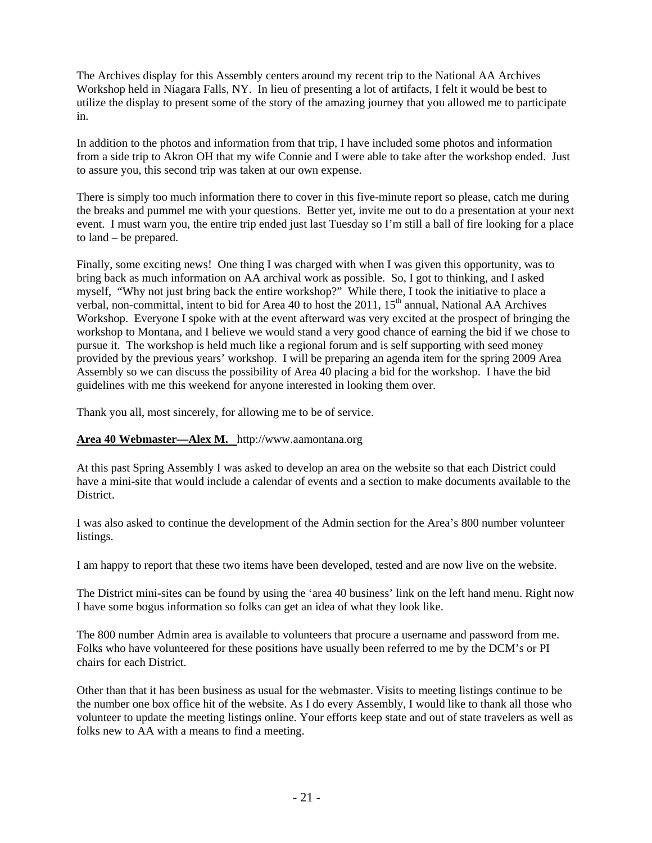The Archives display for this Assembly centers around my recent trip to the National AA Archives Workshop held in Niagara Falls, NY. In lieu of presenting a lot of artifacts, I felt it would be best to utilize the display to present some of the story of the amazing journey that you allowed me to participate in.

In addition to the photos and information from that trip, I have included some photos and information from a side trip to Akron OH that my wife Connie and I were able to take after the workshop ended. Just to assure you, this second trip was taken at our own expense.

There is simply too much information there to cover in this five-minute report so please, catch me during the breaks and pummel me with your questions. Better yet, invite me out to do a presentation at your next event. I must warn you, the entire trip ended just last Tuesday so I'm still a ball of fire looking for a place to land – be prepared.

Finally, some exciting news! One thing I was charged with when I was given this opportunity, was to bring back as much information on AA archival work as possible. So, I got to thinking, and I asked myself, "Why not just bring back the entire workshop?" While there, I took the initiative to place a verbal, non-committal, intent to bid for Area 40 to host the 2011, 15<sup>th</sup> annual, National AA Archives Workshop. Everyone I spoke with at the event afterward was very excited at the prospect of bringing the workshop to Montana, and I believe we would stand a very good chance of earning the bid if we chose to pursue it. The workshop is held much like a regional forum and is self supporting with seed money provided by the previous years' workshop. I will be preparing an agenda item for the spring 2009 Area Assembly so we can discuss the possibility of Area 40 placing a bid for the workshop. I have the bid guidelines with me this weekend for anyone interested in looking them over.

Thank you all, most sincerely, for allowing me to be of service.

# **Area 40 Webmaster—Alex M.** http://www.aamontana.org

At this past Spring Assembly I was asked to develop an area on the website so that each District could have a mini-site that would include a calendar of events and a section to make documents available to the District.

I was also asked to continue the development of the Admin section for the Area's 800 number volunteer listings.

I am happy to report that these two items have been developed, tested and are now live on the website.

The District mini-sites can be found by using the 'area 40 business' link on the left hand menu. Right now I have some bogus information so folks can get an idea of what they look like.

The 800 number Admin area is available to volunteers that procure a username and password from me. Folks who have volunteered for these positions have usually been referred to me by the DCM's or PI chairs for each District.

Other than that it has been business as usual for the webmaster. Visits to meeting listings continue to be the number one box office hit of the website. As I do every Assembly, I would like to thank all those who volunteer to update the meeting listings online. Your efforts keep state and out of state travelers as well as folks new to AA with a means to find a meeting.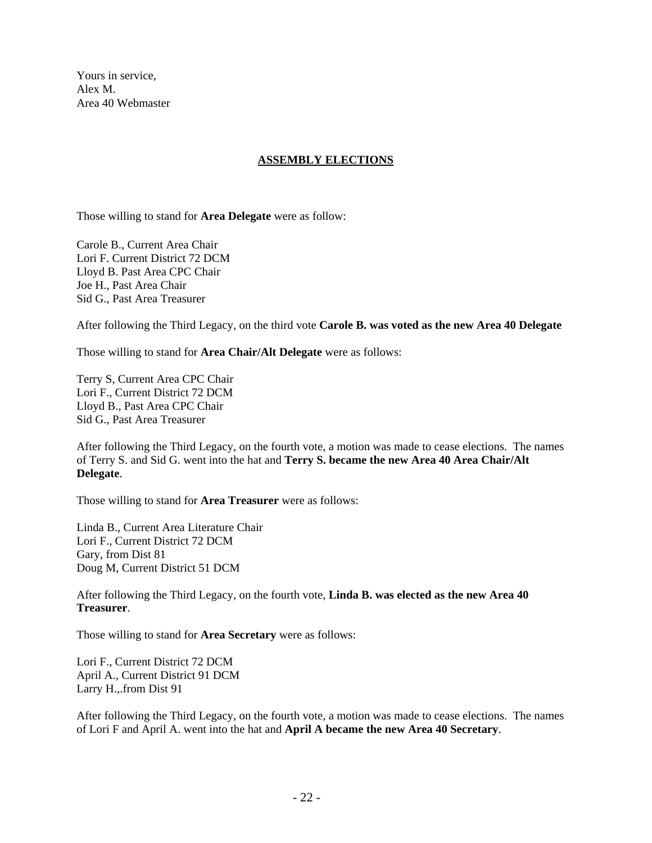Yours in service, Alex M. Area 40 Webmaster

### **ASSEMBLY ELECTIONS**

Those willing to stand for **Area Delegate** were as follow:

Carole B., Current Area Chair Lori F. Current District 72 DCM Lloyd B. Past Area CPC Chair Joe H., Past Area Chair Sid G., Past Area Treasurer

After following the Third Legacy, on the third vote **Carole B. was voted as the new Area 40 Delegate**

Those willing to stand for **Area Chair/Alt Delegate** were as follows:

Terry S, Current Area CPC Chair Lori F., Current District 72 DCM Lloyd B., Past Area CPC Chair Sid G., Past Area Treasurer

After following the Third Legacy, on the fourth vote, a motion was made to cease elections. The names of Terry S. and Sid G. went into the hat and **Terry S. became the new Area 40 Area Chair/Alt Delegate**.

Those willing to stand for **Area Treasurer** were as follows:

Linda B., Current Area Literature Chair Lori F., Current District 72 DCM Gary, from Dist 81 Doug M, Current District 51 DCM

After following the Third Legacy, on the fourth vote, **Linda B. was elected as the new Area 40 Treasurer**.

Those willing to stand for **Area Secretary** were as follows:

Lori F., Current District 72 DCM April A., Current District 91 DCM Larry H.,.from Dist 91

After following the Third Legacy, on the fourth vote, a motion was made to cease elections. The names of Lori F and April A. went into the hat and **April A became the new Area 40 Secretary**.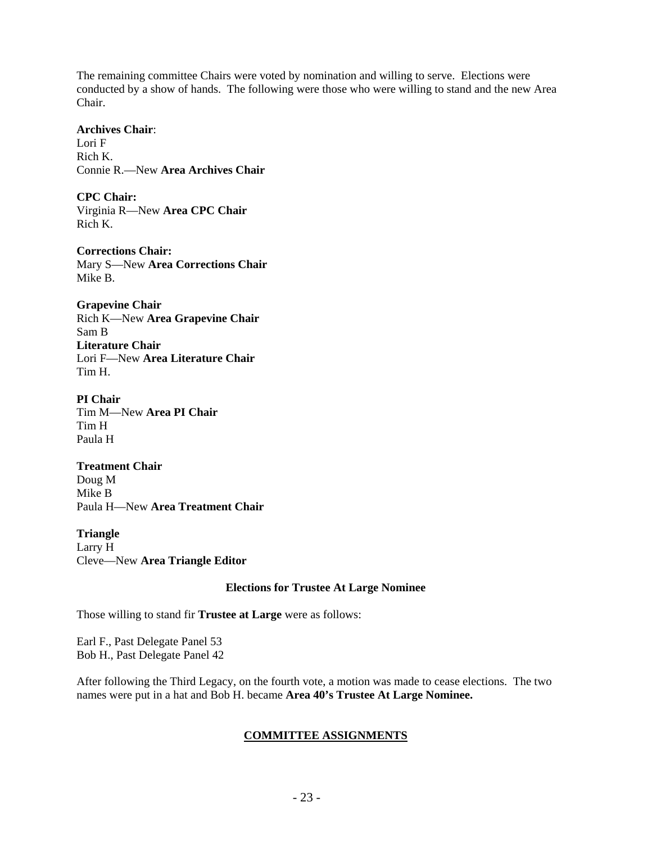The remaining committee Chairs were voted by nomination and willing to serve. Elections were conducted by a show of hands. The following were those who were willing to stand and the new Area Chair.

### **Archives Chair**:

Lori F Rich K. Connie R.—New **Area Archives Chair** 

**CPC Chair:**  Virginia R—New **Area CPC Chair**  Rich K.

**Corrections Chair:**  Mary S—New **Area Corrections Chair**  Mike B.

**Grapevine Chair**  Rich K—New **Area Grapevine Chair** Sam B **Literature Chair**  Lori F—New **Area Literature Chair** Tim H.

**PI Chair**  Tim M—New **Area PI Chair**  Tim H Paula H

**Treatment Chair**  Doug M Mike B Paula H—New **Area Treatment Chair** 

**Triangle**  Larry H Cleve—New **Area Triangle Editor** 

### **Elections for Trustee At Large Nominee**

Those willing to stand fir **Trustee at Large** were as follows:

Earl F., Past Delegate Panel 53 Bob H., Past Delegate Panel 42

After following the Third Legacy, on the fourth vote, a motion was made to cease elections. The two names were put in a hat and Bob H. became **Area 40's Trustee At Large Nominee.** 

# **COMMITTEE ASSIGNMENTS**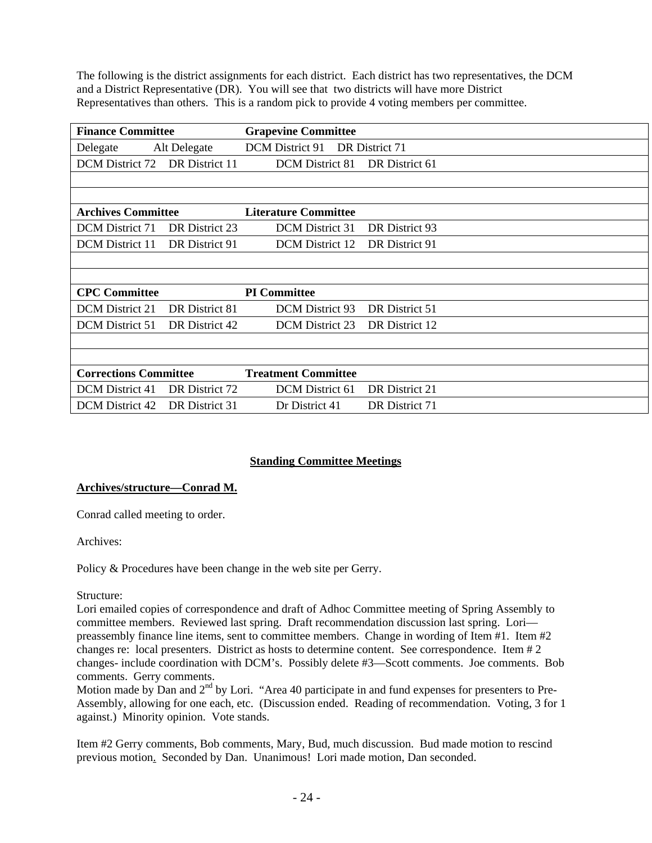The following is the district assignments for each district. Each district has two representatives, the DCM and a District Representative (DR). You will see that two districts will have more District Representatives than others. This is a random pick to provide 4 voting members per committee.

| <b>Finance Committee</b>     |                | <b>Grapevine Committee</b>  |                |  |
|------------------------------|----------------|-----------------------------|----------------|--|
| Delegate                     | Alt Delegate   | <b>DCM</b> District 91      | DR District 71 |  |
| DCM District 72              | DR District 11 | DCM District 81             | DR District 61 |  |
|                              |                |                             |                |  |
|                              |                |                             |                |  |
| <b>Archives Committee</b>    |                | <b>Literature Committee</b> |                |  |
| <b>DCM</b> District 71       | DR District 23 | <b>DCM</b> District 31      | DR District 93 |  |
| <b>DCM</b> District 11       | DR District 91 | <b>DCM</b> District 12      | DR District 91 |  |
|                              |                |                             |                |  |
|                              |                |                             |                |  |
| <b>CPC Committee</b>         |                | <b>PI</b> Committee         |                |  |
| <b>DCM</b> District 21       | DR District 81 | DCM District 93             | DR District 51 |  |
| <b>DCM</b> District 51       | DR District 42 | <b>DCM</b> District 23      | DR District 12 |  |
|                              |                |                             |                |  |
|                              |                |                             |                |  |
| <b>Corrections Committee</b> |                | <b>Treatment Committee</b>  |                |  |
| <b>DCM</b> District 41       | DR District 72 | DCM District 61             | DR District 21 |  |
| DCM District 42              | DR District 31 | Dr District 41              | DR District 71 |  |

# **Standing Committee Meetings**

### **Archives/structure—Conrad M.**

Conrad called meeting to order.

Archives:

Policy & Procedures have been change in the web site per Gerry.

### Structure:

Lori emailed copies of correspondence and draft of Adhoc Committee meeting of Spring Assembly to committee members. Reviewed last spring. Draft recommendation discussion last spring. Lori preassembly finance line items, sent to committee members. Change in wording of Item #1. Item #2 changes re: local presenters. District as hosts to determine content. See correspondence. Item # 2 changes- include coordination with DCM's. Possibly delete #3—Scott comments. Joe comments. Bob comments. Gerry comments.

Motion made by Dan and  $2<sup>nd</sup>$  by Lori. "Area 40 participate in and fund expenses for presenters to Pre-Assembly, allowing for one each, etc. (Discussion ended. Reading of recommendation. Voting, 3 for 1 against.) Minority opinion. Vote stands.

Item #2 Gerry comments, Bob comments, Mary, Bud, much discussion. Bud made motion to rescind previous motion. Seconded by Dan. Unanimous! Lori made motion, Dan seconded.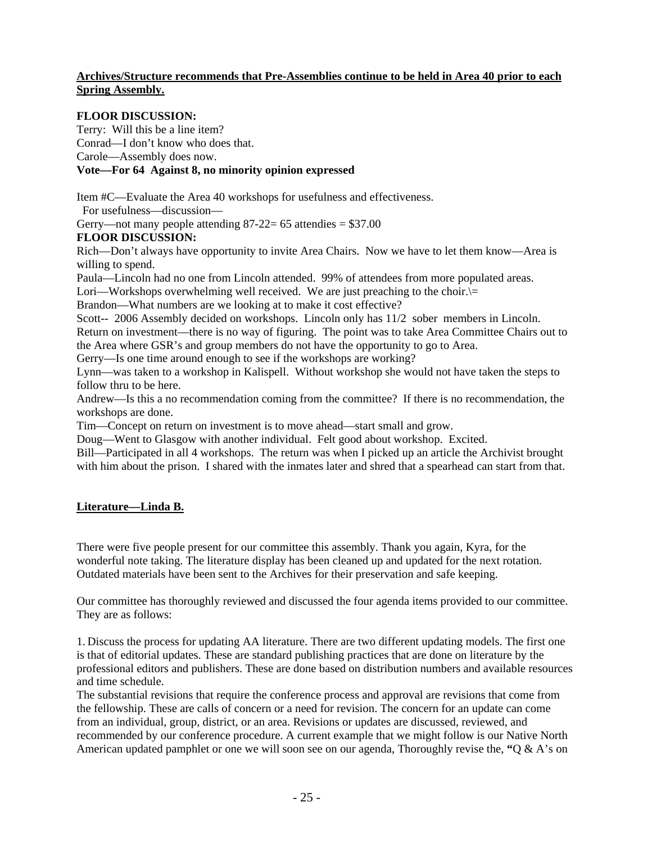## **Archives/Structure recommends that Pre-Assemblies continue to be held in Area 40 prior to each Spring Assembly.**

## **FLOOR DISCUSSION:**

Terry: Will this be a line item?

Conrad—I don't know who does that.

Carole—Assembly does now.

# **Vote—For 64 Against 8, no minority opinion expressed**

Item #C—Evaluate the Area 40 workshops for usefulness and effectiveness.

For usefulness—discussion—

Gerry—not many people attending  $87-22= 65$  attendies  $= $37.00$ 

**FLOOR DISCUSSION:** 

Rich—Don't always have opportunity to invite Area Chairs. Now we have to let them know—Area is willing to spend.

Paula—Lincoln had no one from Lincoln attended. 99% of attendees from more populated areas.

Lori—Workshops overwhelming well received. We are just preaching to the choir.

Brandon—What numbers are we looking at to make it cost effective?

Scott-- 2006 Assembly decided on workshops. Lincoln only has  $11/2$  sober members in Lincoln. Return on investment—there is no way of figuring. The point was to take Area Committee Chairs out to

the Area where GSR's and group members do not have the opportunity to go to Area.

Gerry—Is one time around enough to see if the workshops are working?

Lynn—was taken to a workshop in Kalispell. Without workshop she would not have taken the steps to follow thru to be here.

Andrew—Is this a no recommendation coming from the committee? If there is no recommendation, the workshops are done.

Tim—Concept on return on investment is to move ahead—start small and grow.

Doug—Went to Glasgow with another individual. Felt good about workshop. Excited.

Bill—Participated in all 4 workshops. The return was when I picked up an article the Archivist brought with him about the prison. I shared with the inmates later and shred that a spearhead can start from that.

### **Literature—Linda B.**

There were five people present for our committee this assembly. Thank you again, Kyra, for the wonderful note taking. The literature display has been cleaned up and updated for the next rotation. Outdated materials have been sent to the Archives for their preservation and safe keeping.

Our committee has thoroughly reviewed and discussed the four agenda items provided to our committee. They are as follows:

1. Discuss the process for updating AA literature. There are two different updating models. The first one is that of editorial updates. These are standard publishing practices that are done on literature by the professional editors and publishers. These are done based on distribution numbers and available resources and time schedule.

The substantial revisions that require the conference process and approval are revisions that come from the fellowship. These are calls of concern or a need for revision. The concern for an update can come from an individual, group, district, or an area. Revisions or updates are discussed, reviewed, and recommended by our conference procedure. A current example that we might follow is our Native North American updated pamphlet or one we will soon see on our agenda, Thoroughly revise the, **"**Q & A's on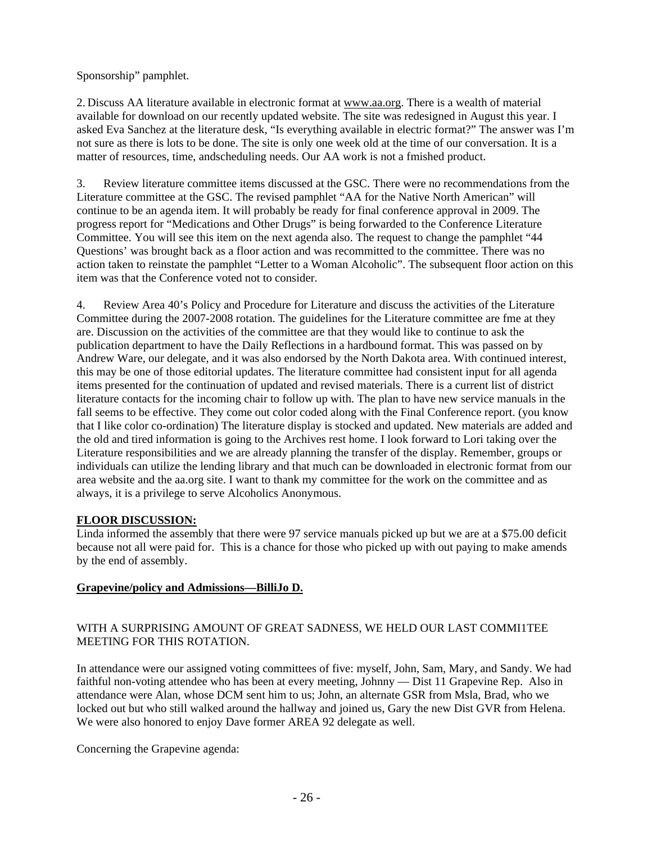Sponsorship" pamphlet.

2. Discuss AA literature available in electronic format at www.aa.org. There is a wealth of material available for download on our recently updated website. The site was redesigned in August this year. I asked Eva Sanchez at the literature desk, "Is everything available in electric format?" The answer was I'm not sure as there is lots to be done. The site is only one week old at the time of our conversation. It is a matter of resources, time, andscheduling needs. Our AA work is not a fmished product.

3. Review literature committee items discussed at the GSC. There were no recommendations from the Literature committee at the GSC. The revised pamphlet "AA for the Native North American" will continue to be an agenda item. It will probably be ready for final conference approval in 2009. The progress report for "Medications and Other Drugs" is being forwarded to the Conference Literature Committee. You will see this item on the next agenda also. The request to change the pamphlet "44 Questions' was brought back as a floor action and was recommitted to the committee. There was no action taken to reinstate the pamphlet "Letter to a Woman Alcoholic". The subsequent floor action on this item was that the Conference voted not to consider.

4. Review Area 40's Policy and Procedure for Literature and discuss the activities of the Literature Committee during the 2007-2008 rotation. The guidelines for the Literature committee are fme at they are. Discussion on the activities of the committee are that they would like to continue to ask the publication department to have the Daily Reflections in a hardbound format. This was passed on by Andrew Ware, our delegate, and it was also endorsed by the North Dakota area. With continued interest, this may be one of those editorial updates. The literature committee had consistent input for all agenda items presented for the continuation of updated and revised materials. There is a current list of district literature contacts for the incoming chair to follow up with. The plan to have new service manuals in the fall seems to be effective. They come out color coded along with the Final Conference report. (you know that I like color co-ordination) The literature display is stocked and updated. New materials are added and the old and tired information is going to the Archives rest home. I look forward to Lori taking over the Literature responsibilities and we are already planning the transfer of the display. Remember, groups or individuals can utilize the lending library and that much can be downloaded in electronic format from our area website and the aa.org site. I want to thank my committee for the work on the committee and as always, it is a privilege to serve Alcoholics Anonymous.

# **FLOOR DISCUSSION:**

Linda informed the assembly that there were 97 service manuals picked up but we are at a \$75.00 deficit because not all were paid for. This is a chance for those who picked up with out paying to make amends by the end of assembly.

# **Grapevine/policy and Admissions—BilliJo D.**

## WITH A SURPRISING AMOUNT OF GREAT SADNESS, WE HELD OUR LAST COMMI1TEE MEETING FOR THIS ROTATION.

In attendance were our assigned voting committees of five: myself, John, Sam, Mary, and Sandy. We had faithful non-voting attendee who has been at every meeting, Johnny — Dist 11 Grapevine Rep. Also in attendance were Alan, whose DCM sent him to us; John, an alternate GSR from Msla, Brad, who we locked out but who still walked around the hallway and joined us, Gary the new Dist GVR from Helena. We were also honored to enjoy Dave former AREA 92 delegate as well.

Concerning the Grapevine agenda: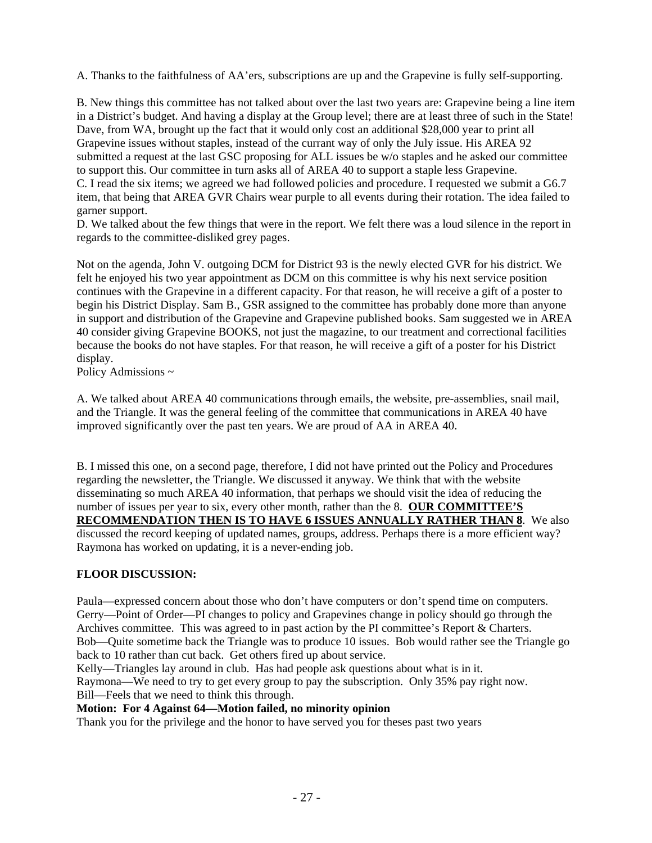A. Thanks to the faithfulness of AA'ers, subscriptions are up and the Grapevine is fully self-supporting.

B. New things this committee has not talked about over the last two years are: Grapevine being a line item in a District's budget. And having a display at the Group level; there are at least three of such in the State! Dave, from WA, brought up the fact that it would only cost an additional \$28,000 year to print all Grapevine issues without staples, instead of the currant way of only the July issue. His AREA 92 submitted a request at the last GSC proposing for ALL issues be w/o staples and he asked our committee to support this. Our committee in turn asks all of AREA 40 to support a staple less Grapevine. C. I read the six items; we agreed we had followed policies and procedure. I requested we submit a G6.7 item, that being that AREA GVR Chairs wear purple to all events during their rotation. The idea failed to garner support.

D. We talked about the few things that were in the report. We felt there was a loud silence in the report in regards to the committee-disliked grey pages.

Not on the agenda, John V. outgoing DCM for District 93 is the newly elected GVR for his district. We felt he enjoyed his two year appointment as DCM on this committee is why his next service position continues with the Grapevine in a different capacity. For that reason, he will receive a gift of a poster to begin his District Display. Sam B., GSR assigned to the committee has probably done more than anyone in support and distribution of the Grapevine and Grapevine published books. Sam suggested we in AREA 40 consider giving Grapevine BOOKS, not just the magazine, to our treatment and correctional facilities because the books do not have staples. For that reason, he will receive a gift of a poster for his District display.

Policy Admissions ~

A. We talked about AREA 40 communications through emails, the website, pre-assemblies, snail mail, and the Triangle. It was the general feeling of the committee that communications in AREA 40 have improved significantly over the past ten years. We are proud of AA in AREA 40.

B. I missed this one, on a second page, therefore, I did not have printed out the Policy and Procedures regarding the newsletter, the Triangle. We discussed it anyway. We think that with the website disseminating so much AREA 40 information, that perhaps we should visit the idea of reducing the number of issues per year to six, every other month, rather than the 8. **OUR COMMITTEE'S RECOMMENDATION THEN IS TO HAVE 6 ISSUES ANNUALLY RATHER THAN 8**. We also discussed the record keeping of updated names, groups, address. Perhaps there is a more efficient way? Raymona has worked on updating, it is a never-ending job.

# **FLOOR DISCUSSION:**

Paula—expressed concern about those who don't have computers or don't spend time on computers. Gerry—Point of Order—PI changes to policy and Grapevines change in policy should go through the Archives committee. This was agreed to in past action by the PI committee's Report & Charters. Bob—Quite sometime back the Triangle was to produce 10 issues. Bob would rather see the Triangle go back to 10 rather than cut back. Get others fired up about service.

Kelly—Triangles lay around in club. Has had people ask questions about what is in it. Raymona—We need to try to get every group to pay the subscription. Only 35% pay right now. Bill—Feels that we need to think this through.

# **Motion: For 4 Against 64—Motion failed, no minority opinion**

Thank you for the privilege and the honor to have served you for theses past two years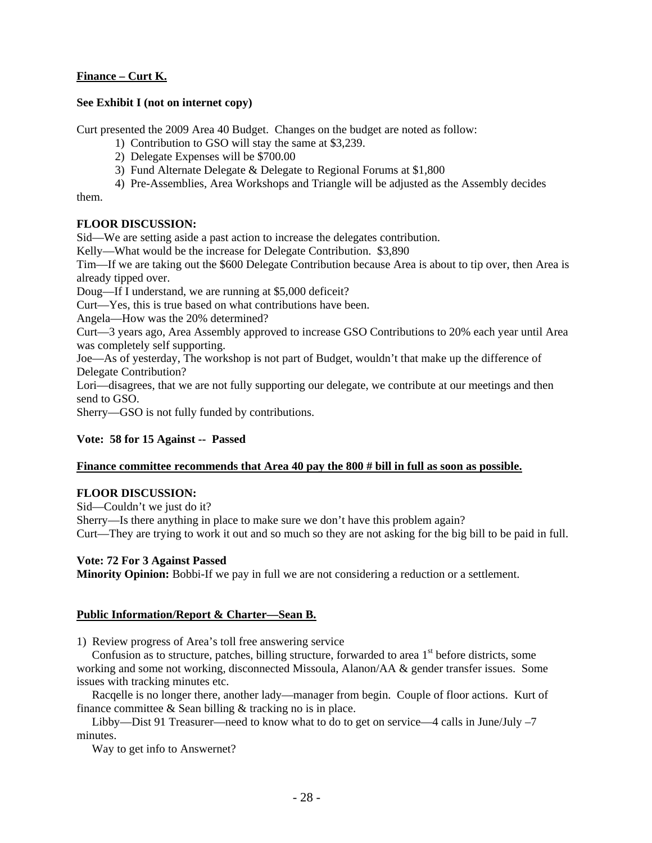# **Finance – Curt K.**

### **See Exhibit I (not on internet copy)**

Curt presented the 2009 Area 40 Budget. Changes on the budget are noted as follow:

- 1) Contribution to GSO will stay the same at \$3,239.
- 2) Delegate Expenses will be \$700.00
- 3) Fund Alternate Delegate & Delegate to Regional Forums at \$1,800

4) Pre-Assemblies, Area Workshops and Triangle will be adjusted as the Assembly decides

them.

## **FLOOR DISCUSSION:**

Sid—We are setting aside a past action to increase the delegates contribution.

Kelly—What would be the increase for Delegate Contribution. \$3,890

Tim—If we are taking out the \$600 Delegate Contribution because Area is about to tip over, then Area is already tipped over.

Doug—If I understand, we are running at \$5,000 deficeit?

Curt—Yes, this is true based on what contributions have been.

Angela—How was the 20% determined?

Curt—3 years ago, Area Assembly approved to increase GSO Contributions to 20% each year until Area was completely self supporting.

Joe—As of yesterday, The workshop is not part of Budget, wouldn't that make up the difference of Delegate Contribution?

Lori—disagrees, that we are not fully supporting our delegate, we contribute at our meetings and then send to GSO.

Sherry—GSO is not fully funded by contributions.

### **Vote: 58 for 15 Against -- Passed**

### **Finance committee recommends that Area 40 pay the 800 # bill in full as soon as possible.**

### **FLOOR DISCUSSION:**

Sid—Couldn't we just do it?

Sherry—Is there anything in place to make sure we don't have this problem again?

Curt—They are trying to work it out and so much so they are not asking for the big bill to be paid in full.

### **Vote: 72 For 3 Against Passed**

**Minority Opinion:** Bobbi-If we pay in full we are not considering a reduction or a settlement.

## **Public Information/Report & Charter—Sean B.**

1) Review progress of Area's toll free answering service

Confusion as to structure, patches, billing structure, forwarded to area 1<sup>st</sup> before districts, some working and some not working, disconnected Missoula, Alanon/AA & gender transfer issues. Some issues with tracking minutes etc.

 Racqelle is no longer there, another lady—manager from begin. Couple of floor actions. Kurt of finance committee & Sean billing & tracking no is in place.

 Libby—Dist 91 Treasurer—need to know what to do to get on service—4 calls in June/July –7 minutes.

Way to get info to Answernet?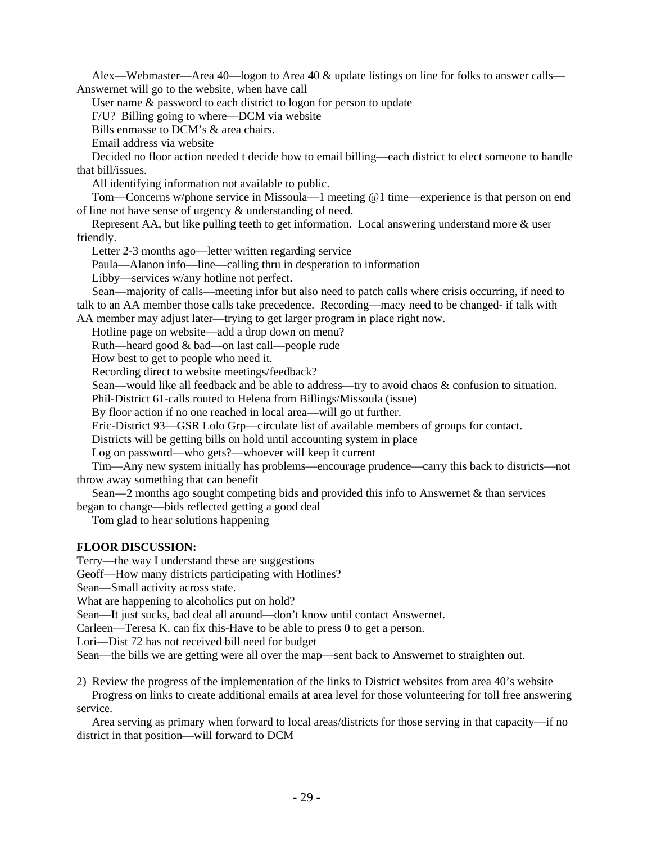Alex—Webmaster—Area 40—logon to Area 40 & update listings on line for folks to answer calls— Answernet will go to the website, when have call

User name & password to each district to logon for person to update

F/U? Billing going to where—DCM via website

Bills enmasse to DCM's & area chairs.

Email address via website

 Decided no floor action needed t decide how to email billing—each district to elect someone to handle that bill/issues.

All identifying information not available to public.

 Tom—Concerns w/phone service in Missoula—1 meeting @1 time—experience is that person on end of line not have sense of urgency & understanding of need.

 Represent AA, but like pulling teeth to get information. Local answering understand more & user friendly.

Letter 2-3 months ago—letter written regarding service

Paula—Alanon info—line—calling thru in desperation to information

Libby—services w/any hotline not perfect.

 Sean—majority of calls—meeting infor but also need to patch calls where crisis occurring, if need to talk to an AA member those calls take precedence. Recording—macy need to be changed- if talk with

AA member may adjust later—trying to get larger program in place right now.

Hotline page on website—add a drop down on menu?

Ruth—heard good & bad—on last call—people rude

How best to get to people who need it.

Recording direct to website meetings/feedback?

Sean—would like all feedback and be able to address—try to avoid chaos & confusion to situation.

Phil-District 61-calls routed to Helena from Billings/Missoula (issue)

By floor action if no one reached in local area—will go ut further.

Eric-District 93—GSR Lolo Grp—circulate list of available members of groups for contact.

Districts will be getting bills on hold until accounting system in place

Log on password—who gets?—whoever will keep it current

 Tim—Any new system initially has problems—encourage prudence—carry this back to districts—not throw away something that can benefit

Sean—2 months ago sought competing bids and provided this info to Answernet  $\&$  than services began to change—bids reflected getting a good deal

Tom glad to hear solutions happening

### **FLOOR DISCUSSION:**

Terry—the way I understand these are suggestions

Geoff—How many districts participating with Hotlines?

Sean—Small activity across state.

What are happening to alcoholics put on hold?

Sean—It just sucks, bad deal all around—don't know until contact Answernet.

Carleen—Teresa K. can fix this-Have to be able to press 0 to get a person.

Lori—Dist 72 has not received bill need for budget

Sean—the bills we are getting were all over the map—sent back to Answernet to straighten out.

2) Review the progress of the implementation of the links to District websites from area 40's website

 Progress on links to create additional emails at area level for those volunteering for toll free answering service.

 Area serving as primary when forward to local areas/districts for those serving in that capacity—if no district in that position—will forward to DCM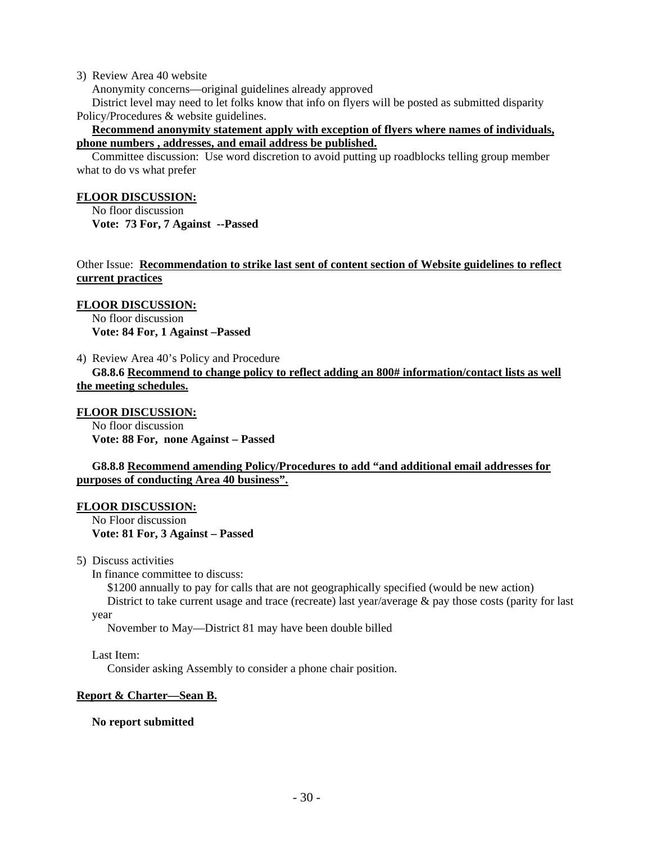### 3) Review Area 40 website

Anonymity concerns—original guidelines already approved

 District level may need to let folks know that info on flyers will be posted as submitted disparity Policy/Procedures & website guidelines.

### **Recommend anonymity statement apply with exception of flyers where names of individuals, phone numbers , addresses, and email address be published.**

 Committee discussion: Use word discretion to avoid putting up roadblocks telling group member what to do vs what prefer

### **FLOOR DISCUSSION:**

 No floor discussion **Vote: 73 For, 7 Against --Passed** 

Other Issue: **Recommendation to strike last sent of content section of Website guidelines to reflect current practices**

### **FLOOR DISCUSSION:**

 No floor discussion **Vote: 84 For, 1 Against –Passed** 

4) Review Area 40's Policy and Procedure

 **G8.8.6 Recommend to change policy to reflect adding an 800# information/contact lists as well the meeting schedules.**

### **FLOOR DISCUSSION:**

 No floor discussion **Vote: 88 For, none Against – Passed** 

### **G8.8.8 Recommend amending Policy/Procedures to add "and additional email addresses for purposes of conducting Area 40 business".**

### **FLOOR DISCUSSION:**

 No Floor discussion **Vote: 81 For, 3 Against – Passed** 

5) Discuss activities

In finance committee to discuss:

\$1200 annually to pay for calls that are not geographically specified (would be new action)

District to take current usage and trace (recreate) last year/average & pay those costs (parity for last year

November to May—District 81 may have been double billed

### Last Item:

Consider asking Assembly to consider a phone chair position.

### **Report & Charter—Sean B.**

### **No report submitted**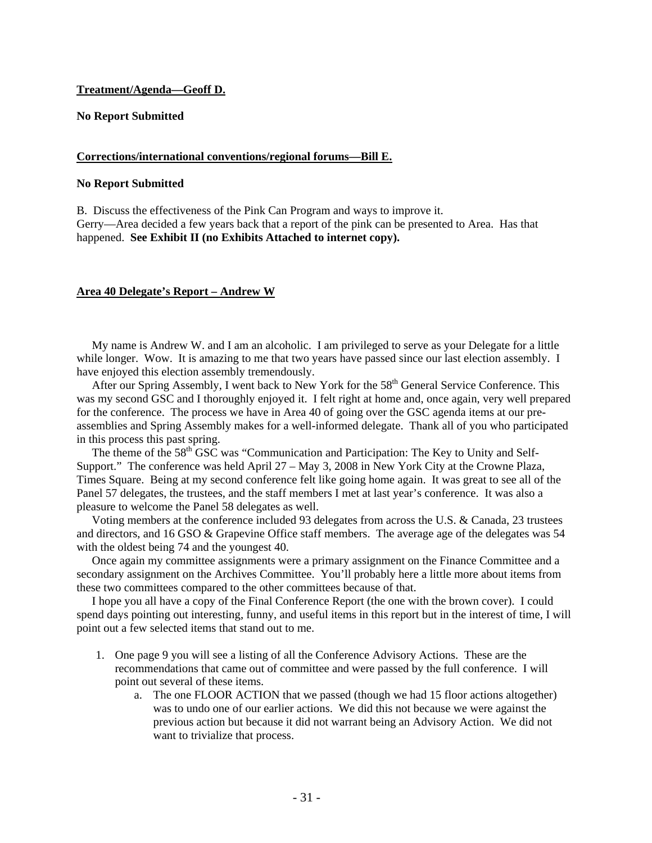### **Treatment/Agenda—Geoff D.**

### **No Report Submitted**

### **Corrections/international conventions/regional forums—Bill E.**

### **No Report Submitted**

B. Discuss the effectiveness of the Pink Can Program and ways to improve it. Gerry—Area decided a few years back that a report of the pink can be presented to Area. Has that happened. **See Exhibit II (no Exhibits Attached to internet copy).** 

### **Area 40 Delegate's Report – Andrew W**

 My name is Andrew W. and I am an alcoholic. I am privileged to serve as your Delegate for a little while longer. Wow. It is amazing to me that two years have passed since our last election assembly. I have enjoyed this election assembly tremendously.

After our Spring Assembly, I went back to New York for the 58<sup>th</sup> General Service Conference. This was my second GSC and I thoroughly enjoyed it. I felt right at home and, once again, very well prepared for the conference. The process we have in Area 40 of going over the GSC agenda items at our preassemblies and Spring Assembly makes for a well-informed delegate. Thank all of you who participated in this process this past spring.

The theme of the 58<sup>th</sup> GSC was "Communication and Participation: The Key to Unity and Self-Support." The conference was held April 27 – May 3, 2008 in New York City at the Crowne Plaza, Times Square. Being at my second conference felt like going home again. It was great to see all of the Panel 57 delegates, the trustees, and the staff members I met at last year's conference. It was also a pleasure to welcome the Panel 58 delegates as well.

 Voting members at the conference included 93 delegates from across the U.S. & Canada, 23 trustees and directors, and 16 GSO & Grapevine Office staff members. The average age of the delegates was 54 with the oldest being 74 and the youngest 40.

 Once again my committee assignments were a primary assignment on the Finance Committee and a secondary assignment on the Archives Committee. You'll probably here a little more about items from these two committees compared to the other committees because of that.

 I hope you all have a copy of the Final Conference Report (the one with the brown cover). I could spend days pointing out interesting, funny, and useful items in this report but in the interest of time, I will point out a few selected items that stand out to me.

- 1. One page 9 you will see a listing of all the Conference Advisory Actions. These are the recommendations that came out of committee and were passed by the full conference. I will point out several of these items.
	- a. The one FLOOR ACTION that we passed (though we had 15 floor actions altogether) was to undo one of our earlier actions. We did this not because we were against the previous action but because it did not warrant being an Advisory Action. We did not want to trivialize that process.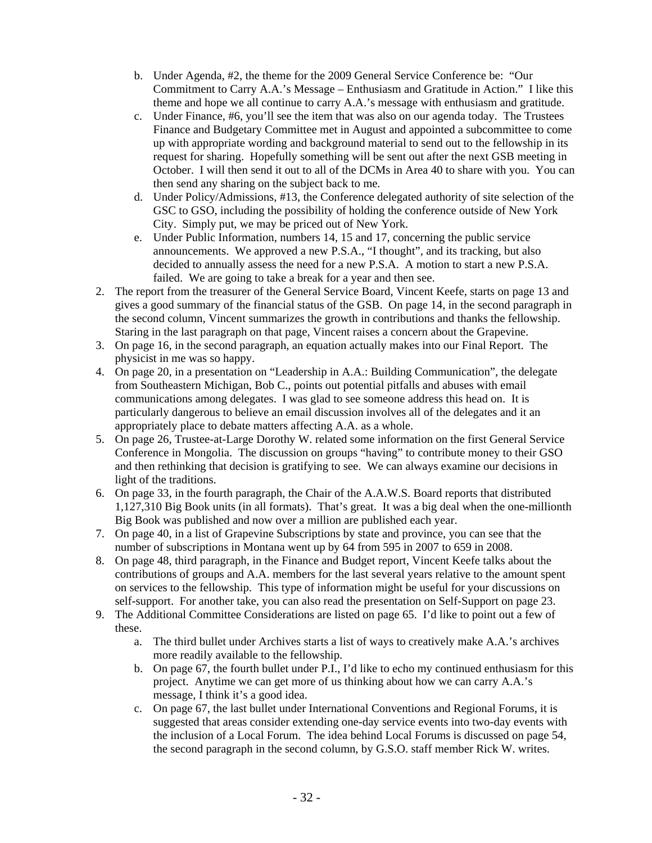- b. Under Agenda, #2, the theme for the 2009 General Service Conference be: "Our Commitment to Carry A.A.'s Message – Enthusiasm and Gratitude in Action." I like this theme and hope we all continue to carry A.A.'s message with enthusiasm and gratitude.
- c. Under Finance, #6, you'll see the item that was also on our agenda today. The Trustees Finance and Budgetary Committee met in August and appointed a subcommittee to come up with appropriate wording and background material to send out to the fellowship in its request for sharing. Hopefully something will be sent out after the next GSB meeting in October. I will then send it out to all of the DCMs in Area 40 to share with you. You can then send any sharing on the subject back to me.
- d. Under Policy/Admissions, #13, the Conference delegated authority of site selection of the GSC to GSO, including the possibility of holding the conference outside of New York City. Simply put, we may be priced out of New York.
- e. Under Public Information, numbers 14, 15 and 17, concerning the public service announcements. We approved a new P.S.A., "I thought", and its tracking, but also decided to annually assess the need for a new P.S.A. A motion to start a new P.S.A. failed. We are going to take a break for a year and then see.
- 2. The report from the treasurer of the General Service Board, Vincent Keefe, starts on page 13 and gives a good summary of the financial status of the GSB. On page 14, in the second paragraph in the second column, Vincent summarizes the growth in contributions and thanks the fellowship. Staring in the last paragraph on that page, Vincent raises a concern about the Grapevine.
- 3. On page 16, in the second paragraph, an equation actually makes into our Final Report. The physicist in me was so happy.
- 4. On page 20, in a presentation on "Leadership in A.A.: Building Communication", the delegate from Southeastern Michigan, Bob C., points out potential pitfalls and abuses with email communications among delegates. I was glad to see someone address this head on. It is particularly dangerous to believe an email discussion involves all of the delegates and it an appropriately place to debate matters affecting A.A. as a whole.
- 5. On page 26, Trustee-at-Large Dorothy W. related some information on the first General Service Conference in Mongolia. The discussion on groups "having" to contribute money to their GSO and then rethinking that decision is gratifying to see. We can always examine our decisions in light of the traditions.
- 6. On page 33, in the fourth paragraph, the Chair of the A.A.W.S. Board reports that distributed 1,127,310 Big Book units (in all formats). That's great. It was a big deal when the one-millionth Big Book was published and now over a million are published each year.
- 7. On page 40, in a list of Grapevine Subscriptions by state and province, you can see that the number of subscriptions in Montana went up by 64 from 595 in 2007 to 659 in 2008.
- 8. On page 48, third paragraph, in the Finance and Budget report, Vincent Keefe talks about the contributions of groups and A.A. members for the last several years relative to the amount spent on services to the fellowship. This type of information might be useful for your discussions on self-support. For another take, you can also read the presentation on Self-Support on page 23.
- 9. The Additional Committee Considerations are listed on page 65. I'd like to point out a few of these.
	- a. The third bullet under Archives starts a list of ways to creatively make A.A.'s archives more readily available to the fellowship.
	- b. On page 67, the fourth bullet under P.I., I'd like to echo my continued enthusiasm for this project. Anytime we can get more of us thinking about how we can carry A.A.'s message, I think it's a good idea.
	- c. On page 67, the last bullet under International Conventions and Regional Forums, it is suggested that areas consider extending one-day service events into two-day events with the inclusion of a Local Forum. The idea behind Local Forums is discussed on page 54, the second paragraph in the second column, by G.S.O. staff member Rick W. writes.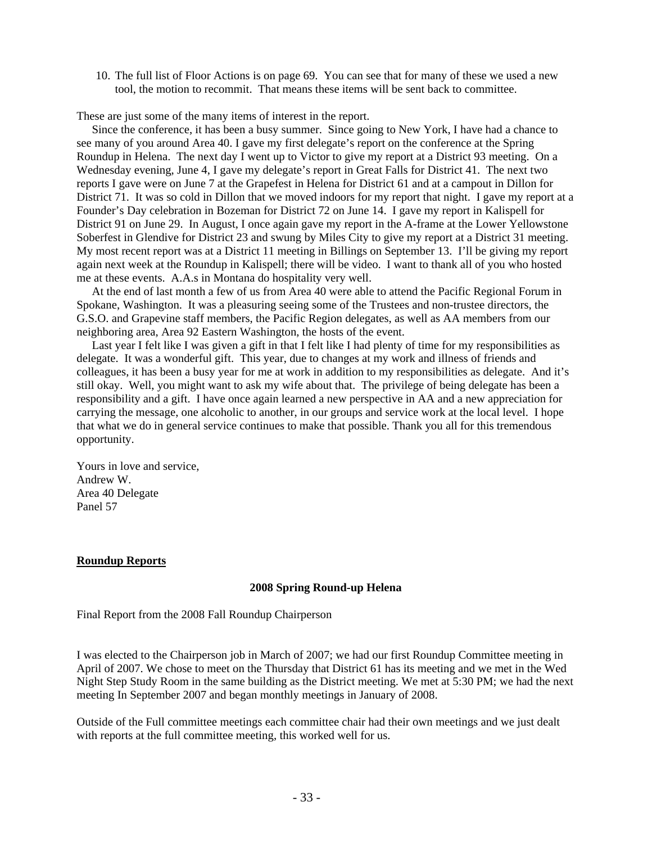10. The full list of Floor Actions is on page 69. You can see that for many of these we used a new tool, the motion to recommit. That means these items will be sent back to committee.

These are just some of the many items of interest in the report.

 Since the conference, it has been a busy summer. Since going to New York, I have had a chance to see many of you around Area 40. I gave my first delegate's report on the conference at the Spring Roundup in Helena. The next day I went up to Victor to give my report at a District 93 meeting. On a Wednesday evening, June 4, I gave my delegate's report in Great Falls for District 41. The next two reports I gave were on June 7 at the Grapefest in Helena for District 61 and at a campout in Dillon for District 71. It was so cold in Dillon that we moved indoors for my report that night. I gave my report at a Founder's Day celebration in Bozeman for District 72 on June 14. I gave my report in Kalispell for District 91 on June 29. In August, I once again gave my report in the A-frame at the Lower Yellowstone Soberfest in Glendive for District 23 and swung by Miles City to give my report at a District 31 meeting. My most recent report was at a District 11 meeting in Billings on September 13. I'll be giving my report again next week at the Roundup in Kalispell; there will be video. I want to thank all of you who hosted me at these events. A.A.s in Montana do hospitality very well.

 At the end of last month a few of us from Area 40 were able to attend the Pacific Regional Forum in Spokane, Washington. It was a pleasuring seeing some of the Trustees and non-trustee directors, the G.S.O. and Grapevine staff members, the Pacific Region delegates, as well as AA members from our neighboring area, Area 92 Eastern Washington, the hosts of the event.

 Last year I felt like I was given a gift in that I felt like I had plenty of time for my responsibilities as delegate. It was a wonderful gift. This year, due to changes at my work and illness of friends and colleagues, it has been a busy year for me at work in addition to my responsibilities as delegate. And it's still okay. Well, you might want to ask my wife about that. The privilege of being delegate has been a responsibility and a gift. I have once again learned a new perspective in AA and a new appreciation for carrying the message, one alcoholic to another, in our groups and service work at the local level. I hope that what we do in general service continues to make that possible. Thank you all for this tremendous opportunity.

Yours in love and service, Andrew W. Area 40 Delegate Panel 57

### **Roundup Reports**

### **2008 Spring Round-up Helena**

Final Report from the 2008 Fall Roundup Chairperson

I was elected to the Chairperson job in March of 2007; we had our first Roundup Committee meeting in April of 2007. We chose to meet on the Thursday that District 61 has its meeting and we met in the Wed Night Step Study Room in the same building as the District meeting. We met at 5:30 PM; we had the next meeting In September 2007 and began monthly meetings in January of 2008.

Outside of the Full committee meetings each committee chair had their own meetings and we just dealt with reports at the full committee meeting, this worked well for us.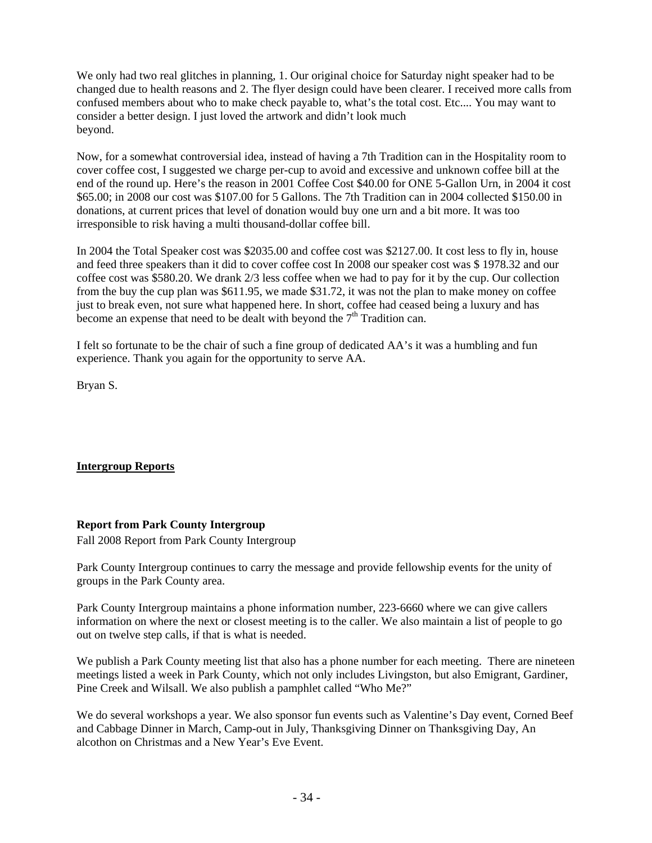We only had two real glitches in planning, 1. Our original choice for Saturday night speaker had to be changed due to health reasons and 2. The flyer design could have been clearer. I received more calls from confused members about who to make check payable to, what's the total cost. Etc.... You may want to consider a better design. I just loved the artwork and didn't look much beyond.

Now, for a somewhat controversial idea, instead of having a 7th Tradition can in the Hospitality room to cover coffee cost, I suggested we charge per-cup to avoid and excessive and unknown coffee bill at the end of the round up. Here's the reason in 2001 Coffee Cost \$40.00 for ONE 5-Gallon Urn, in 2004 it cost \$65.00; in 2008 our cost was \$107.00 for 5 Gallons. The 7th Tradition can in 2004 collected \$150.00 in donations, at current prices that level of donation would buy one urn and a bit more. It was too irresponsible to risk having a multi thousand-dollar coffee bill.

In 2004 the Total Speaker cost was \$2035.00 and coffee cost was \$2127.00. It cost less to fly in, house and feed three speakers than it did to cover coffee cost In 2008 our speaker cost was \$ 1978.32 and our coffee cost was \$580.20. We drank 2/3 less coffee when we had to pay for it by the cup. Our collection from the buy the cup plan was \$611.95, we made \$31.72, it was not the plan to make money on coffee just to break even, not sure what happened here. In short, coffee had ceased being a luxury and has become an expense that need to be dealt with beyond the  $7<sup>th</sup>$  Tradition can.

I felt so fortunate to be the chair of such a fine group of dedicated AA's it was a humbling and fun experience. Thank you again for the opportunity to serve AA.

Bryan S.

# **Intergroup Reports**

# **Report from Park County Intergroup**

Fall 2008 Report from Park County Intergroup

Park County Intergroup continues to carry the message and provide fellowship events for the unity of groups in the Park County area.

Park County Intergroup maintains a phone information number, 223-6660 where we can give callers information on where the next or closest meeting is to the caller. We also maintain a list of people to go out on twelve step calls, if that is what is needed.

We publish a Park County meeting list that also has a phone number for each meeting. There are nineteen meetings listed a week in Park County, which not only includes Livingston, but also Emigrant, Gardiner, Pine Creek and Wilsall. We also publish a pamphlet called "Who Me?"

We do several workshops a year. We also sponsor fun events such as Valentine's Day event, Corned Beef and Cabbage Dinner in March, Camp-out in July, Thanksgiving Dinner on Thanksgiving Day, An alcothon on Christmas and a New Year's Eve Event.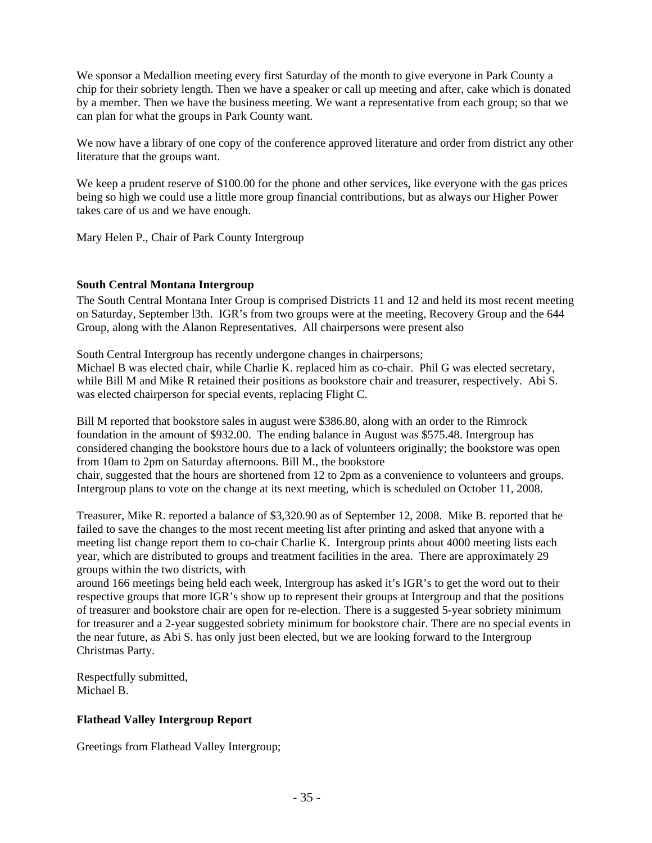We sponsor a Medallion meeting every first Saturday of the month to give everyone in Park County a chip for their sobriety length. Then we have a speaker or call up meeting and after, cake which is donated by a member. Then we have the business meeting. We want a representative from each group; so that we can plan for what the groups in Park County want.

We now have a library of one copy of the conference approved literature and order from district any other literature that the groups want.

We keep a prudent reserve of \$100.00 for the phone and other services, like everyone with the gas prices being so high we could use a little more group financial contributions, but as always our Higher Power takes care of us and we have enough.

Mary Helen P., Chair of Park County Intergroup

## **South Central Montana Intergroup**

The South Central Montana Inter Group is comprised Districts 11 and 12 and held its most recent meeting on Saturday, September l3th. IGR's from two groups were at the meeting, Recovery Group and the 644 Group, along with the Alanon Representatives. All chairpersons were present also

South Central Intergroup has recently undergone changes in chairpersons; Michael B was elected chair, while Charlie K. replaced him as co-chair. Phil G was elected secretary, while Bill M and Mike R retained their positions as bookstore chair and treasurer, respectively. Abi S. was elected chairperson for special events, replacing Flight C.

Bill M reported that bookstore sales in august were \$386.80, along with an order to the Rimrock foundation in the amount of \$932.00. The ending balance in August was \$575.48. Intergroup has considered changing the bookstore hours due to a lack of volunteers originally; the bookstore was open from 10am to 2pm on Saturday afternoons. Bill M., the bookstore chair, suggested that the hours are shortened from 12 to 2pm as a convenience to volunteers and groups. Intergroup plans to vote on the change at its next meeting, which is scheduled on October 11, 2008.

Treasurer, Mike R. reported a balance of \$3,320.90 as of September 12, 2008. Mike B. reported that he failed to save the changes to the most recent meeting list after printing and asked that anyone with a meeting list change report them to co-chair Charlie K. Intergroup prints about 4000 meeting lists each year, which are distributed to groups and treatment facilities in the area. There are approximately 29 groups within the two districts, with

around 166 meetings being held each week, Intergroup has asked it's IGR's to get the word out to their respective groups that more IGR's show up to represent their groups at Intergroup and that the positions of treasurer and bookstore chair are open for re-election. There is a suggested 5-year sobriety minimum for treasurer and a 2-year suggested sobriety minimum for bookstore chair. There are no special events in the near future, as Abi S. has only just been elected, but we are looking forward to the Intergroup Christmas Party.

Respectfully submitted, Michael B.

# **Flathead Valley Intergroup Report**

Greetings from Flathead Valley Intergroup;